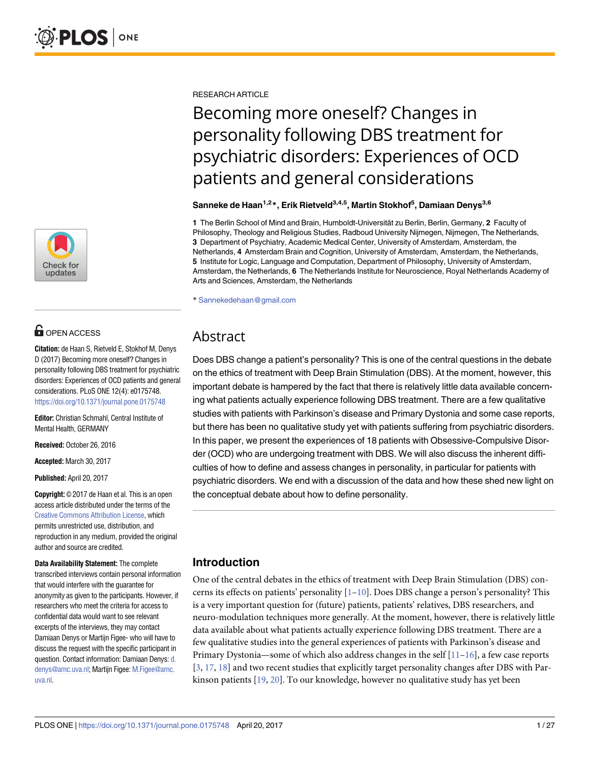

# **OPEN ACCESS**

**Citation:** de Haan S, Rietveld E, Stokhof M, Denys D (2017) Becoming more oneself? Changes in personality following DBS treatment for psychiatric disorders: Experiences of OCD patients and general considerations. PLoS ONE 12(4): e0175748. <https://doi.org/10.1371/journal.pone.0175748>

**Editor:** Christian Schmahl, Central Institute of Mental Health, GERMANY

**Received:** October 26, 2016

**Accepted:** March 30, 2017

**Published:** April 20, 2017

**Copyright:** © 2017 de Haan et al. This is an open access article distributed under the terms of the Creative Commons [Attribution](http://creativecommons.org/licenses/by/4.0/) License, which permits unrestricted use, distribution, and reproduction in any medium, provided the original author and source are credited.

**Data Availability Statement:** The complete transcribed interviews contain personal information that would interfere with the guarantee for anonymity as given to the participants. However, if researchers who meet the criteria for access to confidential data would want to see relevant excerpts of the interviews, they may contact Damiaan Denys or Martijn Figee- who will have to discuss the request with the specific participant in question. Contact information: Damiaan Denys: [d.](mailto:d.denys@amc.uva.nl) [denys@amc.uva.nl](mailto:d.denys@amc.uva.nl); Martijn Figee: [M.Figee@amc.](mailto:M.Figee@amc.uva.nl) [uva.nl.](mailto:M.Figee@amc.uva.nl)

<span id="page-0-0"></span>RESEARCH ARTICLE

# Becoming more oneself? Changes in personality following DBS treatment for psychiatric disorders: Experiences of OCD patients and general considerations

**Sanneke de Haan1,2\*, Erik Rietveld3,4,5, Martin Stokhof5 , Damiaan Denys3,6**

1 The Berlin School of Mind and Brain, Humboldt-Universität zu Berlin, Berlin, Germany, 2 Faculty of Philosophy, Theology and Religious Studies, Radboud University Nijmegen, Nijmegen, The Netherlands, **3** Department of Psychiatry, Academic Medical Center, University of Amsterdam, Amsterdam, the Netherlands, **4** Amsterdam Brain and Cognition, University of Amsterdam, Amsterdam, the Netherlands, **5** Institute for Logic, Language and Computation, Department of Philosophy, University of Amsterdam, Amsterdam, the Netherlands, **6** The Netherlands Institute for Neuroscience, Royal Netherlands Academy of Arts and Sciences, Amsterdam, the Netherlands

\* Sannekedehaan@gmail.com

## Abstract

Does DBS change a patient's personality? This is one of the central questions in the debate on the ethics of treatment with Deep Brain Stimulation (DBS). At the moment, however, this important debate is hampered by the fact that there is relatively little data available concerning what patients actually experience following DBS treatment. There are a few qualitative studies with patients with Parkinson's disease and Primary Dystonia and some case reports, but there has been no qualitative study yet with patients suffering from psychiatric disorders. In this paper, we present the experiences of 18 patients with Obsessive-Compulsive Disorder (OCD) who are undergoing treatment with DBS. We will also discuss the inherent difficulties of how to define and assess changes in personality, in particular for patients with psychiatric disorders. We end with a discussion of the data and how these shed new light on the conceptual debate about how to define personality.

## **Introduction**

One of the central debates in the ethics of treatment with Deep Brain Stimulation (DBS) concerns its effects on patients' personality  $[1-10]$  $[1-10]$  $[1-10]$  $[1-10]$  $[1-10]$ . Does DBS change a person's personality? This is a very important question for (future) patients, patients' relatives, DBS researchers, and neuro-modulation techniques more generally. At the moment, however, there is relatively little data available about what patients actually experience following DBS treatment. There are a few qualitative studies into the general experiences of patients with Parkinson's disease and Primary Dystonia—some of which also address changes in the self  $[11-16]$  $[11-16]$  $[11-16]$ , a few case reports [\[3](#page-23-0), [17](#page-24-0), [18](#page-24-0)] and two recent studies that explicitly target personality changes after DBS with Parkinson patients [[19](#page-24-0), [20](#page-24-0)]. To our knowledge, however no qualitative study has yet been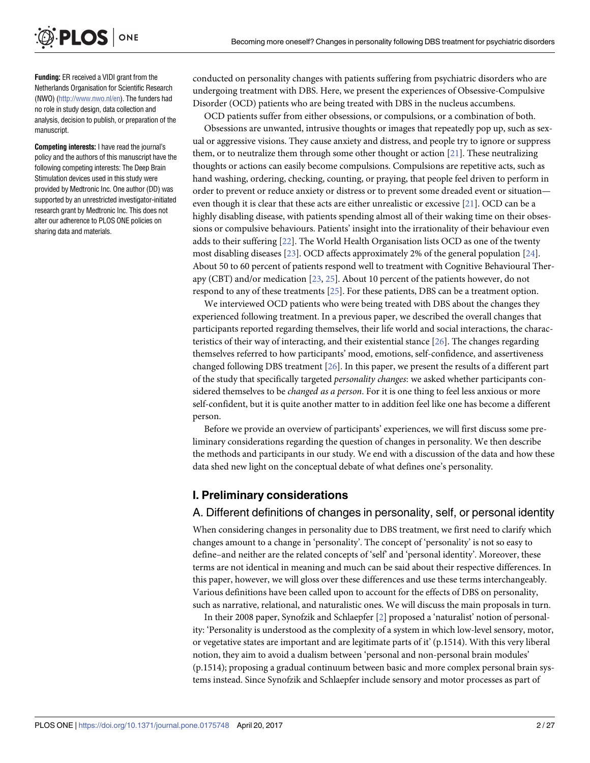<span id="page-1-0"></span>

**Funding:** ER received a VIDI grant from the Netherlands Organisation for Scientific Research (NWO) [\(http://www.nwo.nl/en\)](http://www.nwo.nl/en). The funders had no role in study design, data collection and analysis, decision to publish, or preparation of the manuscript.

**Competing interests:** I have read the journal's policy and the authors of this manuscript have the following competing interests: The Deep Brain Stimulation devices used in this study were provided by Medtronic Inc. One author (DD) was supported by an unrestricted investigator-initiated research grant by Medtronic Inc. This does not alter our adherence to PLOS ONE policies on sharing data and materials.

conducted on personality changes with patients suffering from psychiatric disorders who are undergoing treatment with DBS. Here, we present the experiences of Obsessive-Compulsive Disorder (OCD) patients who are being treated with DBS in the nucleus accumbens.

OCD patients suffer from either obsessions, or compulsions, or a combination of both.

Obsessions are unwanted, intrusive thoughts or images that repeatedly pop up, such as sexual or aggressive visions. They cause anxiety and distress, and people try to ignore or suppress them, or to neutralize them through some other thought or action [\[21\]](#page-24-0). These neutralizing thoughts or actions can easily become compulsions. Compulsions are repetitive acts, such as hand washing, ordering, checking, counting, or praying, that people feel driven to perform in order to prevent or reduce anxiety or distress or to prevent some dreaded event or situation even though it is clear that these acts are either unrealistic or excessive [[21](#page-24-0)]. OCD can be a highly disabling disease, with patients spending almost all of their waking time on their obsessions or compulsive behaviours. Patients' insight into the irrationality of their behaviour even adds to their suffering [\[22\]](#page-24-0). The World Health Organisation lists OCD as one of the twenty most disabling diseases [[23](#page-24-0)]. OCD affects approximately 2% of the general population [[24](#page-24-0)]. About 50 to 60 percent of patients respond well to treatment with Cognitive Behavioural Therapy (CBT) and/or medication [[23](#page-24-0), [25](#page-24-0)]. About 10 percent of the patients however, do not respond to any of these treatments [[25](#page-24-0)]. For these patients, DBS can be a treatment option.

We interviewed OCD patients who were being treated with DBS about the changes they experienced following treatment. In a previous paper, we described the overall changes that participants reported regarding themselves, their life world and social interactions, the characteristics of their way of interacting, and their existential stance [[26\]](#page-24-0). The changes regarding themselves referred to how participants' mood, emotions, self-confidence, and assertiveness changed following DBS treatment [\[26\]](#page-24-0). In this paper, we present the results of a different part of the study that specifically targeted *personality changes*: we asked whether participants considered themselves to be *changed as a person*. For it is one thing to feel less anxious or more self-confident, but it is quite another matter to in addition feel like one has become a different person.

Before we provide an overview of participants' experiences, we will first discuss some preliminary considerations regarding the question of changes in personality. We then describe the methods and participants in our study. We end with a discussion of the data and how these data shed new light on the conceptual debate of what defines one's personality.

#### **I. Preliminary considerations**

#### A. Different definitions of changes in personality, self, or personal identity

When considering changes in personality due to DBS treatment, we first need to clarify which changes amount to a change in 'personality'. The concept of 'personality' is not so easy to define–and neither are the related concepts of 'self' and 'personal identity'. Moreover, these terms are not identical in meaning and much can be said about their respective differences. In this paper, however, we will gloss over these differences and use these terms interchangeably. Various definitions have been called upon to account for the effects of DBS on personality, such as narrative, relational, and naturalistic ones. We will discuss the main proposals in turn.

In their 2008 paper, Synofzik and Schlaepfer [\[2](#page-23-0)] proposed a 'naturalist' notion of personality: 'Personality is understood as the complexity of a system in which low-level sensory, motor, or vegetative states are important and are legitimate parts of it' (p.1514). With this very liberal notion, they aim to avoid a dualism between 'personal and non-personal brain modules' (p.1514); proposing a gradual continuum between basic and more complex personal brain systems instead. Since Synofzik and Schlaepfer include sensory and motor processes as part of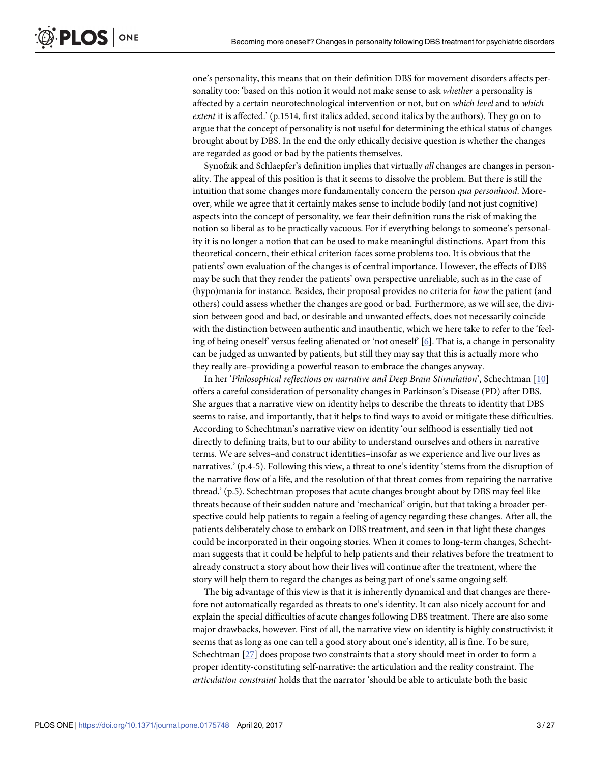<span id="page-2-0"></span>one's personality, this means that on their definition DBS for movement disorders affects personality too: 'based on this notion it would not make sense to ask *whether* a personality is affected by a certain neurotechnological intervention or not, but on *which level* and to *which extent* it is affected.' (p.1514, first italics added, second italics by the authors). They go on to argue that the concept of personality is not useful for determining the ethical status of changes brought about by DBS. In the end the only ethically decisive question is whether the changes are regarded as good or bad by the patients themselves.

Synofzik and Schlaepfer's definition implies that virtually *all* changes are changes in personality. The appeal of this position is that it seems to dissolve the problem. But there is still the intuition that some changes more fundamentally concern the person *qua personhood*. Moreover, while we agree that it certainly makes sense to include bodily (and not just cognitive) aspects into the concept of personality, we fear their definition runs the risk of making the notion so liberal as to be practically vacuous. For if everything belongs to someone's personality it is no longer a notion that can be used to make meaningful distinctions. Apart from this theoretical concern, their ethical criterion faces some problems too. It is obvious that the patients' own evaluation of the changes is of central importance. However, the effects of DBS may be such that they render the patients' own perspective unreliable, such as in the case of (hypo)mania for instance. Besides, their proposal provides no criteria for *how* the patient (and others) could assess whether the changes are good or bad. Furthermore, as we will see, the division between good and bad, or desirable and unwanted effects, does not necessarily coincide with the distinction between authentic and inauthentic, which we here take to refer to the 'feeling of being oneself' versus feeling alienated or 'not oneself' [\[6](#page-23-0)]. That is, a change in personality can be judged as unwanted by patients, but still they may say that this is actually more who they really are–providing a powerful reason to embrace the changes anyway.

In her '*Philosophical reflections on narrative and Deep Brain Stimulation*', Schechtman [[10](#page-23-0)] offers a careful consideration of personality changes in Parkinson's Disease (PD) after DBS. She argues that a narrative view on identity helps to describe the threats to identity that DBS seems to raise, and importantly, that it helps to find ways to avoid or mitigate these difficulties. According to Schechtman's narrative view on identity 'our selfhood is essentially tied not directly to defining traits, but to our ability to understand ourselves and others in narrative terms. We are selves–and construct identities–insofar as we experience and live our lives as narratives.' (p.4-5). Following this view, a threat to one's identity 'stems from the disruption of the narrative flow of a life, and the resolution of that threat comes from repairing the narrative thread.' (p.5). Schechtman proposes that acute changes brought about by DBS may feel like threats because of their sudden nature and 'mechanical' origin, but that taking a broader perspective could help patients to regain a feeling of agency regarding these changes. After all, the patients deliberately chose to embark on DBS treatment, and seen in that light these changes could be incorporated in their ongoing stories. When it comes to long-term changes, Schechtman suggests that it could be helpful to help patients and their relatives before the treatment to already construct a story about how their lives will continue after the treatment, where the story will help them to regard the changes as being part of one's same ongoing self.

The big advantage of this view is that it is inherently dynamical and that changes are therefore not automatically regarded as threats to one's identity. It can also nicely account for and explain the special difficulties of acute changes following DBS treatment. There are also some major drawbacks, however. First of all, the narrative view on identity is highly constructivist; it seems that as long as one can tell a good story about one's identity, all is fine. To be sure, Schechtman [[27](#page-24-0)] does propose two constraints that a story should meet in order to form a proper identity-constituting self-narrative: the articulation and the reality constraint. The *articulation constraint* holds that the narrator 'should be able to articulate both the basic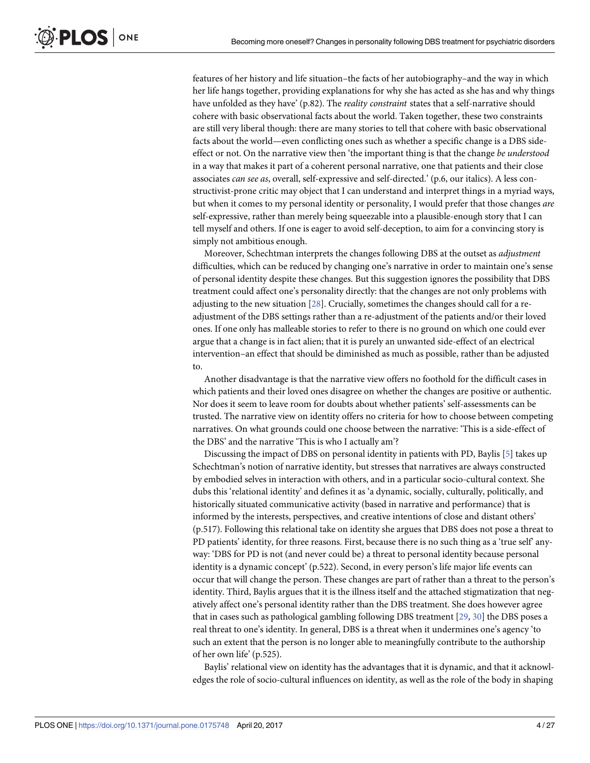<span id="page-3-0"></span>features of her history and life situation–the facts of her autobiography–and the way in which her life hangs together, providing explanations for why she has acted as she has and why things have unfolded as they have' (p.82). The *reality constraint* states that a self-narrative should cohere with basic observational facts about the world. Taken together, these two constraints are still very liberal though: there are many stories to tell that cohere with basic observational facts about the world—even conflicting ones such as whether a specific change is a DBS sideeffect or not. On the narrative view then 'the important thing is that the change *be understood* in a way that makes it part of a coherent personal narrative, one that patients and their close associates *can see as*, overall, self-expressive and self-directed.' (p.6, our italics). A less constructivist-prone critic may object that I can understand and interpret things in a myriad ways, but when it comes to my personal identity or personality, I would prefer that those changes *are* self-expressive, rather than merely being squeezable into a plausible-enough story that I can tell myself and others. If one is eager to avoid self-deception, to aim for a convincing story is simply not ambitious enough.

Moreover, Schechtman interprets the changes following DBS at the outset as *adjustment* difficulties, which can be reduced by changing one's narrative in order to maintain one's sense of personal identity despite these changes. But this suggestion ignores the possibility that DBS treatment could affect one's personality directly: that the changes are not only problems with adjusting to the new situation [\[28\]](#page-24-0). Crucially, sometimes the changes should call for a readjustment of the DBS settings rather than a re-adjustment of the patients and/or their loved ones. If one only has malleable stories to refer to there is no ground on which one could ever argue that a change is in fact alien; that it is purely an unwanted side-effect of an electrical intervention–an effect that should be diminished as much as possible, rather than be adjusted to.

Another disadvantage is that the narrative view offers no foothold for the difficult cases in which patients and their loved ones disagree on whether the changes are positive or authentic. Nor does it seem to leave room for doubts about whether patients' self-assessments can be trusted. The narrative view on identity offers no criteria for how to choose between competing narratives. On what grounds could one choose between the narrative: 'This is a side-effect of the DBS' and the narrative 'This is who I actually am'?

Discussing the impact of DBS on personal identity in patients with PD, Baylis [[5](#page-23-0)] takes up Schechtman's notion of narrative identity, but stresses that narratives are always constructed by embodied selves in interaction with others, and in a particular socio-cultural context. She dubs this 'relational identity' and defines it as 'a dynamic, socially, culturally, politically, and historically situated communicative activity (based in narrative and performance) that is informed by the interests, perspectives, and creative intentions of close and distant others' (p.517). Following this relational take on identity she argues that DBS does not pose a threat to PD patients' identity, for three reasons. First, because there is no such thing as a 'true self' anyway: 'DBS for PD is not (and never could be) a threat to personal identity because personal identity is a dynamic concept' (p.522). Second, in every person's life major life events can occur that will change the person. These changes are part of rather than a threat to the person's identity. Third, Baylis argues that it is the illness itself and the attached stigmatization that negatively affect one's personal identity rather than the DBS treatment. She does however agree that in cases such as pathological gambling following DBS treatment [\[29,](#page-24-0) [30\]](#page-24-0) the DBS poses a real threat to one's identity. In general, DBS is a threat when it undermines one's agency 'to such an extent that the person is no longer able to meaningfully contribute to the authorship of her own life' (p.525).

Baylis' relational view on identity has the advantages that it is dynamic, and that it acknowledges the role of socio-cultural influences on identity, as well as the role of the body in shaping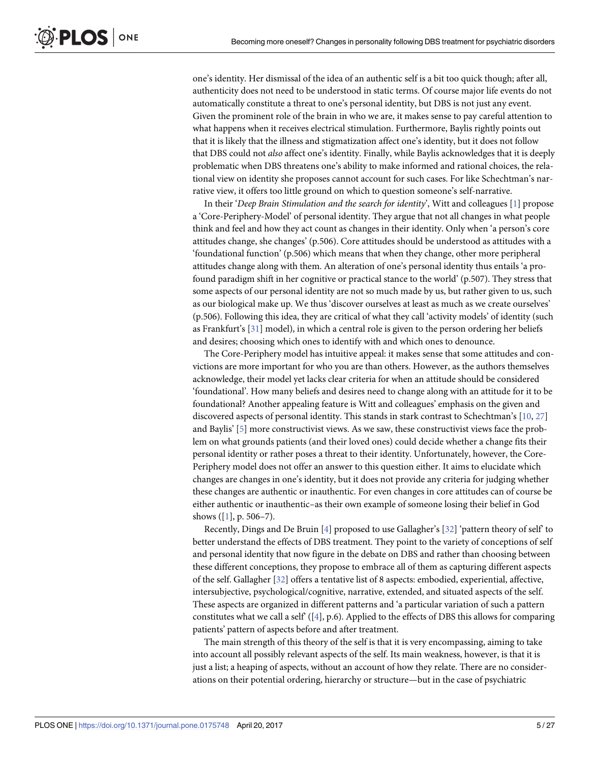<span id="page-4-0"></span>one's identity. Her dismissal of the idea of an authentic self is a bit too quick though; after all, authenticity does not need to be understood in static terms. Of course major life events do not automatically constitute a threat to one's personal identity, but DBS is not just any event. Given the prominent role of the brain in who we are, it makes sense to pay careful attention to what happens when it receives electrical stimulation. Furthermore, Baylis rightly points out that it is likely that the illness and stigmatization affect one's identity, but it does not follow that DBS could not *also* affect one's identity. Finally, while Baylis acknowledges that it is deeply problematic when DBS threatens one's ability to make informed and rational choices, the relational view on identity she proposes cannot account for such cases. For like Schechtman's narrative view, it offers too little ground on which to question someone's self-narrative.

In their '*Deep Brain Stimulation and the search for identity*', Witt and colleagues [\[1](#page-23-0)] propose a 'Core-Periphery-Model' of personal identity. They argue that not all changes in what people think and feel and how they act count as changes in their identity. Only when 'a person's core attitudes change, she changes' (p.506). Core attitudes should be understood as attitudes with a 'foundational function' (p.506) which means that when they change, other more peripheral attitudes change along with them. An alteration of one's personal identity thus entails 'a profound paradigm shift in her cognitive or practical stance to the world' (p.507). They stress that some aspects of our personal identity are not so much made by us, but rather given to us, such as our biological make up. We thus 'discover ourselves at least as much as we create ourselves' (p.506). Following this idea, they are critical of what they call 'activity models' of identity (such as Frankfurt's [\[31\]](#page-24-0) model), in which a central role is given to the person ordering her beliefs and desires; choosing which ones to identify with and which ones to denounce.

The Core-Periphery model has intuitive appeal: it makes sense that some attitudes and convictions are more important for who you are than others. However, as the authors themselves acknowledge, their model yet lacks clear criteria for when an attitude should be considered 'foundational'. How many beliefs and desires need to change along with an attitude for it to be foundational? Another appealing feature is Witt and colleagues' emphasis on the given and discovered aspects of personal identity. This stands in stark contrast to Schechtman's [\[10,](#page-23-0) [27](#page-24-0)] and Baylis' [\[5](#page-23-0)] more constructivist views. As we saw, these constructivist views face the problem on what grounds patients (and their loved ones) could decide whether a change fits their personal identity or rather poses a threat to their identity. Unfortunately, however, the Core-Periphery model does not offer an answer to this question either. It aims to elucidate which changes are changes in one's identity, but it does not provide any criteria for judging whether these changes are authentic or inauthentic. For even changes in core attitudes can of course be either authentic or inauthentic–as their own example of someone losing their belief in God shows ([\[1](#page-23-0)], p. 506–7).

Recently, Dings and De Bruin [\[4](#page-23-0)] proposed to use Gallagher's [[32](#page-24-0)] 'pattern theory of self' to better understand the effects of DBS treatment. They point to the variety of conceptions of self and personal identity that now figure in the debate on DBS and rather than choosing between these different conceptions, they propose to embrace all of them as capturing different aspects of the self. Gallagher [[32](#page-24-0)] offers a tentative list of 8 aspects: embodied, experiential, affective, intersubjective, psychological/cognitive, narrative, extended, and situated aspects of the self. These aspects are organized in different patterns and 'a particular variation of such a pattern constitutes what we call a self' ([\[4](#page-23-0)], p.6). Applied to the effects of DBS this allows for comparing patients' pattern of aspects before and after treatment.

The main strength of this theory of the self is that it is very encompassing, aiming to take into account all possibly relevant aspects of the self. Its main weakness, however, is that it is just a list; a heaping of aspects, without an account of how they relate. There are no considerations on their potential ordering, hierarchy or structure—but in the case of psychiatric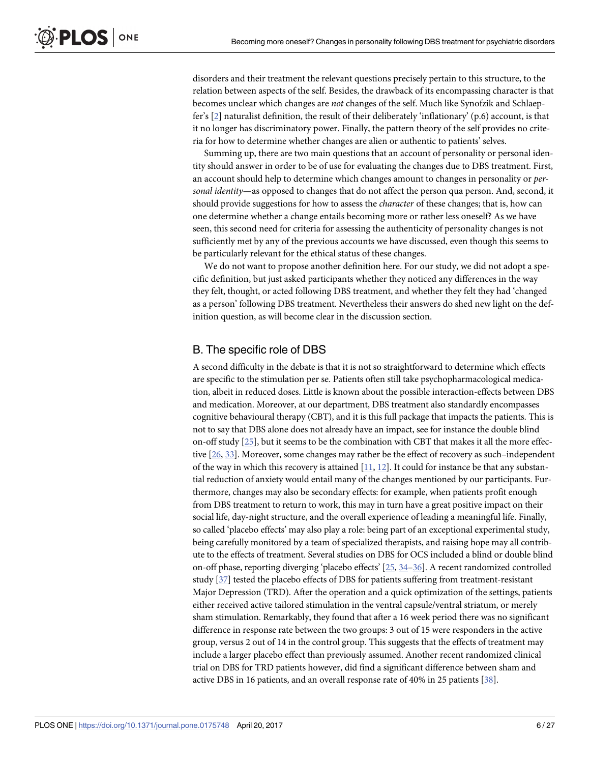<span id="page-5-0"></span>disorders and their treatment the relevant questions precisely pertain to this structure, to the relation between aspects of the self. Besides, the drawback of its encompassing character is that becomes unclear which changes are *not* changes of the self. Much like Synofzik and Schlaepfer's [\[2\]](#page-23-0) naturalist definition, the result of their deliberately 'inflationary' (p.6) account, is that it no longer has discriminatory power. Finally, the pattern theory of the self provides no criteria for how to determine whether changes are alien or authentic to patients' selves.

Summing up, there are two main questions that an account of personality or personal identity should answer in order to be of use for evaluating the changes due to DBS treatment. First, an account should help to determine which changes amount to changes in personality or *personal identity*—as opposed to changes that do not affect the person qua person. And, second, it should provide suggestions for how to assess the *character* of these changes; that is, how can one determine whether a change entails becoming more or rather less oneself? As we have seen, this second need for criteria for assessing the authenticity of personality changes is not sufficiently met by any of the previous accounts we have discussed, even though this seems to be particularly relevant for the ethical status of these changes.

We do not want to propose another definition here. For our study, we did not adopt a specific definition, but just asked participants whether they noticed any differences in the way they felt, thought, or acted following DBS treatment, and whether they felt they had 'changed as a person' following DBS treatment. Nevertheless their answers do shed new light on the definition question, as will become clear in the discussion section.

#### B. The specific role of DBS

A second difficulty in the debate is that it is not so straightforward to determine which effects are specific to the stimulation per se. Patients often still take psychopharmacological medication, albeit in reduced doses. Little is known about the possible interaction-effects between DBS and medication. Moreover, at our department, DBS treatment also standardly encompasses cognitive behavioural therapy (CBT), and it is this full package that impacts the patients. This is not to say that DBS alone does not already have an impact, see for instance the double blind on-off study [[25](#page-24-0)], but it seems to be the combination with CBT that makes it all the more effective [[26](#page-24-0), [33](#page-24-0)]. Moreover, some changes may rather be the effect of recovery as such–independent of the way in which this recovery is attained  $[11, 12]$  $[11, 12]$  $[11, 12]$  $[11, 12]$ . It could for instance be that any substantial reduction of anxiety would entail many of the changes mentioned by our participants. Furthermore, changes may also be secondary effects: for example, when patients profit enough from DBS treatment to return to work, this may in turn have a great positive impact on their social life, day-night structure, and the overall experience of leading a meaningful life. Finally, so called 'placebo effects' may also play a role: being part of an exceptional experimental study, being carefully monitored by a team of specialized therapists, and raising hope may all contribute to the effects of treatment. Several studies on DBS for OCS included a blind or double blind on-off phase, reporting diverging 'placebo effects' [\[25,](#page-24-0) [34](#page-24-0)–[36\]](#page-25-0). A recent randomized controlled study [\[37](#page-25-0)] tested the placebo effects of DBS for patients suffering from treatment-resistant Major Depression (TRD). After the operation and a quick optimization of the settings, patients either received active tailored stimulation in the ventral capsule/ventral striatum, or merely sham stimulation. Remarkably, they found that after a 16 week period there was no significant difference in response rate between the two groups: 3 out of 15 were responders in the active group, versus 2 out of 14 in the control group. This suggests that the effects of treatment may include a larger placebo effect than previously assumed. Another recent randomized clinical trial on DBS for TRD patients however, did find a significant difference between sham and active DBS in 16 patients, and an overall response rate of 40% in 25 patients [[38\]](#page-25-0).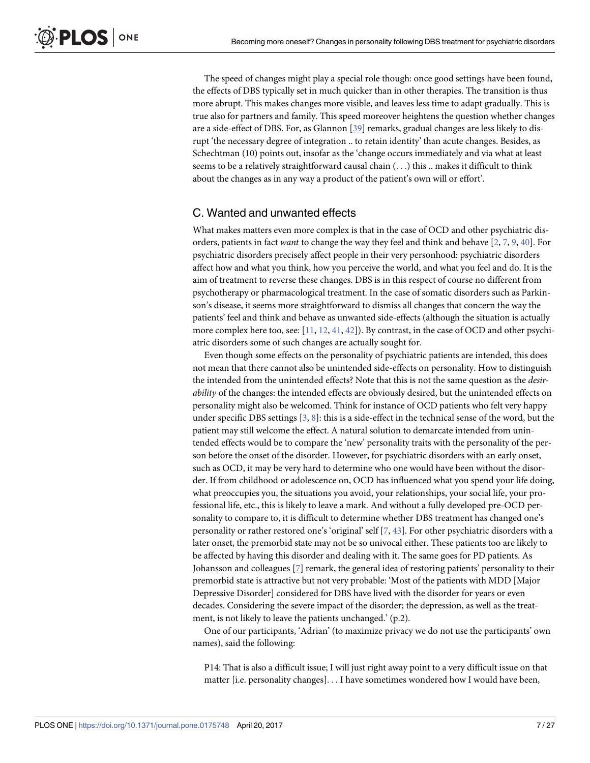<span id="page-6-0"></span>The speed of changes might play a special role though: once good settings have been found, the effects of DBS typically set in much quicker than in other therapies. The transition is thus more abrupt. This makes changes more visible, and leaves less time to adapt gradually. This is true also for partners and family. This speed moreover heightens the question whether changes are a side-effect of DBS. For, as Glannon [\[39\]](#page-25-0) remarks, gradual changes are less likely to disrupt 'the necessary degree of integration .. to retain identity' than acute changes. Besides, as Schechtman (10) points out, insofar as the 'change occurs immediately and via what at least seems to be a relatively straightforward causal chain (. . .) this .. makes it difficult to think about the changes as in any way a product of the patient's own will or effort'.

#### C. Wanted and unwanted effects

What makes matters even more complex is that in the case of OCD and other psychiatric disorders, patients in fact *want* to change the way they feel and think and behave [[2](#page-23-0), [7,](#page-23-0) [9,](#page-23-0) [40\]](#page-25-0). For psychiatric disorders precisely affect people in their very personhood: psychiatric disorders affect how and what you think, how you perceive the world, and what you feel and do. It is the aim of treatment to reverse these changes. DBS is in this respect of course no different from psychotherapy or pharmacological treatment. In the case of somatic disorders such as Parkinson's disease, it seems more straightforward to dismiss all changes that concern the way the patients' feel and think and behave as unwanted side-effects (although the situation is actually more complex here too, see: [[11](#page-23-0), [12](#page-23-0), [41](#page-25-0), [42](#page-25-0)]). By contrast, in the case of OCD and other psychiatric disorders some of such changes are actually sought for.

Even though some effects on the personality of psychiatric patients are intended, this does not mean that there cannot also be unintended side-effects on personality. How to distinguish the intended from the unintended effects? Note that this is not the same question as the *desirability* of the changes: the intended effects are obviously desired, but the unintended effects on personality might also be welcomed. Think for instance of OCD patients who felt very happy under specific DBS settings [\[3,](#page-23-0) [8](#page-23-0)]: this is a side-effect in the technical sense of the word, but the patient may still welcome the effect. A natural solution to demarcate intended from unintended effects would be to compare the 'new' personality traits with the personality of the person before the onset of the disorder. However, for psychiatric disorders with an early onset, such as OCD, it may be very hard to determine who one would have been without the disorder. If from childhood or adolescence on, OCD has influenced what you spend your life doing, what preoccupies you, the situations you avoid, your relationships, your social life, your professional life, etc., this is likely to leave a mark. And without a fully developed pre-OCD personality to compare to, it is difficult to determine whether DBS treatment has changed one's personality or rather restored one's 'original' self [\[7,](#page-23-0) [43\]](#page-25-0). For other psychiatric disorders with a later onset, the premorbid state may not be so univocal either. These patients too are likely to be affected by having this disorder and dealing with it. The same goes for PD patients. As Johansson and colleagues [[7\]](#page-23-0) remark, the general idea of restoring patients' personality to their premorbid state is attractive but not very probable: 'Most of the patients with MDD [Major Depressive Disorder] considered for DBS have lived with the disorder for years or even decades. Considering the severe impact of the disorder; the depression, as well as the treatment, is not likely to leave the patients unchanged.' (p.2).

One of our participants, 'Adrian' (to maximize privacy we do not use the participants' own names), said the following:

P14: That is also a difficult issue; I will just right away point to a very difficult issue on that matter [i.e. personality changes]. . . I have sometimes wondered how I would have been,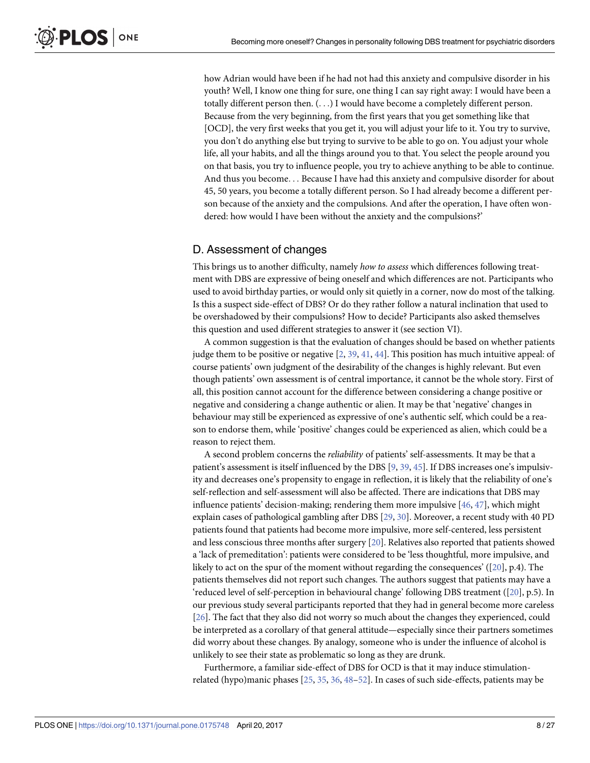<span id="page-7-0"></span>how Adrian would have been if he had not had this anxiety and compulsive disorder in his youth? Well, I know one thing for sure, one thing I can say right away: I would have been a totally different person then. (. . .) I would have become a completely different person. Because from the very beginning, from the first years that you get something like that [OCD], the very first weeks that you get it, you will adjust your life to it. You try to survive, you don't do anything else but trying to survive to be able to go on. You adjust your whole life, all your habits, and all the things around you to that. You select the people around you on that basis, you try to influence people, you try to achieve anything to be able to continue. And thus you become. . . Because I have had this anxiety and compulsive disorder for about 45, 50 years, you become a totally different person. So I had already become a different person because of the anxiety and the compulsions. And after the operation, I have often wondered: how would I have been without the anxiety and the compulsions?'

#### D. Assessment of changes

This brings us to another difficulty, namely *how to assess* which differences following treatment with DBS are expressive of being oneself and which differences are not. Participants who used to avoid birthday parties, or would only sit quietly in a corner, now do most of the talking. Is this a suspect side-effect of DBS? Or do they rather follow a natural inclination that used to be overshadowed by their compulsions? How to decide? Participants also asked themselves this question and used different strategies to answer it (see section VI).

A common suggestion is that the evaluation of changes should be based on whether patients judge them to be positive or negative  $[2, 39, 41, 44]$  $[2, 39, 41, 44]$  $[2, 39, 41, 44]$  $[2, 39, 41, 44]$  $[2, 39, 41, 44]$  $[2, 39, 41, 44]$  $[2, 39, 41, 44]$  $[2, 39, 41, 44]$  $[2, 39, 41, 44]$ . This position has much intuitive appeal: of course patients' own judgment of the desirability of the changes is highly relevant. But even though patients' own assessment is of central importance, it cannot be the whole story. First of all, this position cannot account for the difference between considering a change positive or negative and considering a change authentic or alien. It may be that 'negative' changes in behaviour may still be experienced as expressive of one's authentic self, which could be a reason to endorse them, while 'positive' changes could be experienced as alien, which could be a reason to reject them.

A second problem concerns the *reliability* of patients' self-assessments. It may be that a patient's assessment is itself influenced by the DBS [[9,](#page-23-0) [39,](#page-25-0) [45\]](#page-25-0). If DBS increases one's impulsivity and decreases one's propensity to engage in reflection, it is likely that the reliability of one's self-reflection and self-assessment will also be affected. There are indications that DBS may influence patients' decision-making; rendering them more impulsive [[46](#page-25-0), [47](#page-25-0)], which might explain cases of pathological gambling after DBS [\[29,](#page-24-0) [30\]](#page-24-0). Moreover, a recent study with 40 PD patients found that patients had become more impulsive, more self-centered, less persistent and less conscious three months after surgery [[20\]](#page-24-0). Relatives also reported that patients showed a 'lack of premeditation': patients were considered to be 'less thoughtful, more impulsive, and likely to act on the spur of the moment without regarding the consequences' ([\[20\]](#page-24-0), p.4). The patients themselves did not report such changes. The authors suggest that patients may have a 'reduced level of self-perception in behavioural change' following DBS treatment ([\[20\]](#page-24-0), p.5). In our previous study several participants reported that they had in general become more careless [\[26\]](#page-24-0). The fact that they also did not worry so much about the changes they experienced, could be interpreted as a corollary of that general attitude—especially since their partners sometimes did worry about these changes. By analogy, someone who is under the influence of alcohol is unlikely to see their state as problematic so long as they are drunk.

Furthermore, a familiar side-effect of DBS for OCD is that it may induce stimulationrelated (hypo)manic phases [\[25,](#page-24-0) [35,](#page-24-0) [36,](#page-25-0) [48–52](#page-25-0)]. In cases of such side-effects, patients may be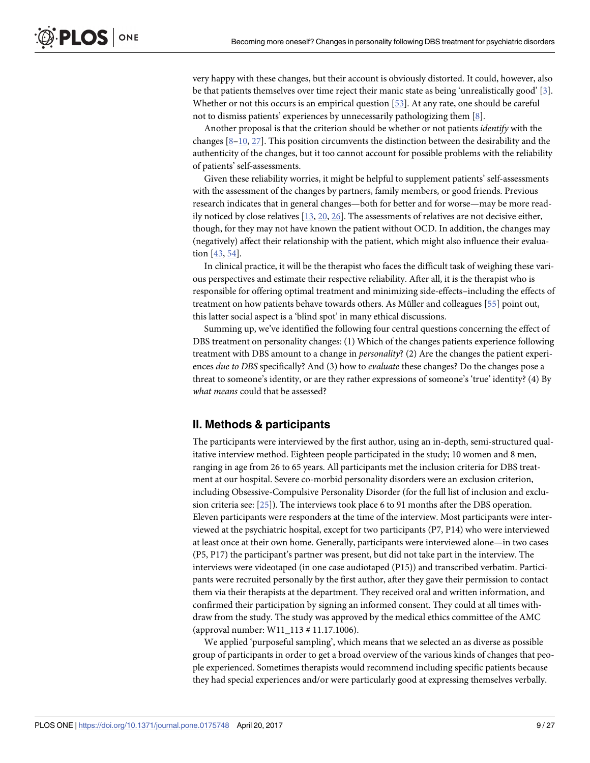<span id="page-8-0"></span>very happy with these changes, but their account is obviously distorted. It could, however, also be that patients themselves over time reject their manic state as being 'unrealistically good' [[3](#page-23-0)]. Whether or not this occurs is an empirical question [[53](#page-25-0)]. At any rate, one should be careful not to dismiss patients' experiences by unnecessarily pathologizing them [\[8](#page-23-0)].

Another proposal is that the criterion should be whether or not patients *identify* with the changes  $[8-10, 27]$  $[8-10, 27]$ . This position circumvents the distinction between the desirability and the authenticity of the changes, but it too cannot account for possible problems with the reliability of patients' self-assessments.

Given these reliability worries, it might be helpful to supplement patients' self-assessments with the assessment of the changes by partners, family members, or good friends. Previous research indicates that in general changes—both for better and for worse—may be more readily noticed by close relatives [\[13,](#page-23-0) [20,](#page-24-0) [26](#page-24-0)]. The assessments of relatives are not decisive either, though, for they may not have known the patient without OCD. In addition, the changes may (negatively) affect their relationship with the patient, which might also influence their evaluation [[43](#page-25-0), [54](#page-25-0)].

In clinical practice, it will be the therapist who faces the difficult task of weighing these various perspectives and estimate their respective reliability. After all, it is the therapist who is responsible for offering optimal treatment and minimizing side-effects–including the effects of treatment on how patients behave towards others. As Müller and colleagues [[55](#page-25-0)] point out, this latter social aspect is a 'blind spot' in many ethical discussions.

Summing up, we've identified the following four central questions concerning the effect of DBS treatment on personality changes: (1) Which of the changes patients experience following treatment with DBS amount to a change in *personality*? (2) Are the changes the patient experiences *due to DBS* specifically? And (3) how to *evaluate* these changes? Do the changes pose a threat to someone's identity, or are they rather expressions of someone's 'true' identity? (4) By *what means* could that be assessed?

## **II. Methods & participants**

The participants were interviewed by the first author, using an in-depth, semi-structured qualitative interview method. Eighteen people participated in the study; 10 women and 8 men, ranging in age from 26 to 65 years. All participants met the inclusion criteria for DBS treatment at our hospital. Severe co-morbid personality disorders were an exclusion criterion, including Obsessive-Compulsive Personality Disorder (for the full list of inclusion and exclusion criteria see: [[25](#page-24-0)]). The interviews took place 6 to 91 months after the DBS operation. Eleven participants were responders at the time of the interview. Most participants were interviewed at the psychiatric hospital, except for two participants (P7, P14) who were interviewed at least once at their own home. Generally, participants were interviewed alone—in two cases (P5, P17) the participant's partner was present, but did not take part in the interview. The interviews were videotaped (in one case audiotaped (P15)) and transcribed verbatim. Participants were recruited personally by the first author, after they gave their permission to contact them via their therapists at the department. They received oral and written information, and confirmed their participation by signing an informed consent. They could at all times withdraw from the study. The study was approved by the medical ethics committee of the AMC (approval number: W11\_113 # 11.17.1006).

We applied 'purposeful sampling', which means that we selected an as diverse as possible group of participants in order to get a broad overview of the various kinds of changes that people experienced. Sometimes therapists would recommend including specific patients because they had special experiences and/or were particularly good at expressing themselves verbally.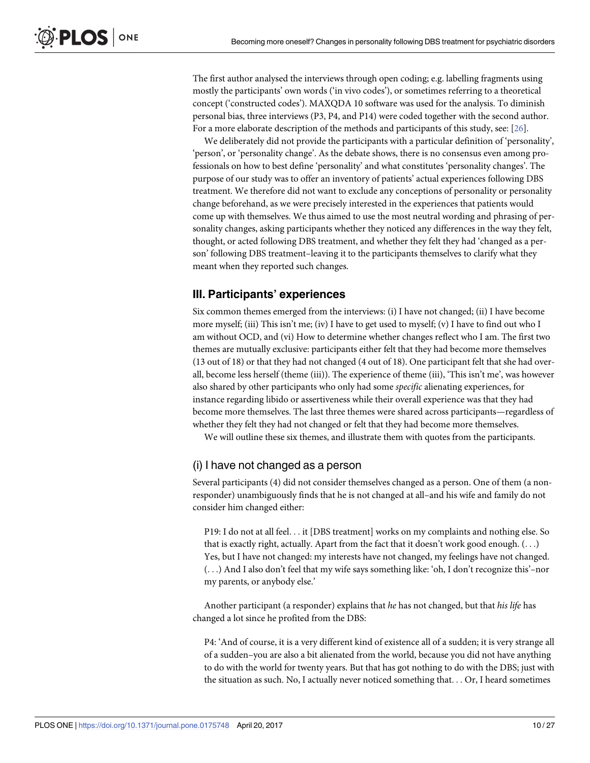The first author analysed the interviews through open coding; e.g. labelling fragments using mostly the participants' own words ('in vivo codes'), or sometimes referring to a theoretical concept ('constructed codes'). MAXQDA 10 software was used for the analysis. To diminish personal bias, three interviews (P3, P4, and P14) were coded together with the second author. For a more elaborate description of the methods and participants of this study, see: [[26](#page-24-0)].

We deliberately did not provide the participants with a particular definition of 'personality', 'person', or 'personality change'. As the debate shows, there is no consensus even among professionals on how to best define 'personality' and what constitutes 'personality changes'. The purpose of our study was to offer an inventory of patients' actual experiences following DBS treatment. We therefore did not want to exclude any conceptions of personality or personality change beforehand, as we were precisely interested in the experiences that patients would come up with themselves. We thus aimed to use the most neutral wording and phrasing of personality changes, asking participants whether they noticed any differences in the way they felt, thought, or acted following DBS treatment, and whether they felt they had 'changed as a person' following DBS treatment–leaving it to the participants themselves to clarify what they meant when they reported such changes.

## **III. Participants' experiences**

Six common themes emerged from the interviews: (i) I have not changed; (ii) I have become more myself; (iii) This isn't me; (iv) I have to get used to myself; (v) I have to find out who I am without OCD, and (vi) How to determine whether changes reflect who I am. The first two themes are mutually exclusive: participants either felt that they had become more themselves (13 out of 18) or that they had not changed (4 out of 18). One participant felt that she had overall, become less herself (theme (iii)). The experience of theme (iii), 'This isn't me', was however also shared by other participants who only had some *specific* alienating experiences, for instance regarding libido or assertiveness while their overall experience was that they had become more themselves. The last three themes were shared across participants—regardless of whether they felt they had not changed or felt that they had become more themselves.

We will outline these six themes, and illustrate them with quotes from the participants.

## (i) I have not changed as a person

Several participants (4) did not consider themselves changed as a person. One of them (a nonresponder) unambiguously finds that he is not changed at all–and his wife and family do not consider him changed either:

P19: I do not at all feel. . . it [DBS treatment] works on my complaints and nothing else. So that is exactly right, actually. Apart from the fact that it doesn't work good enough.  $(\ldots)$ Yes, but I have not changed: my interests have not changed, my feelings have not changed. (. . .) And I also don't feel that my wife says something like: 'oh, I don't recognize this'–nor my parents, or anybody else.'

Another participant (a responder) explains that *he* has not changed, but that *his life* has changed a lot since he profited from the DBS:

P4: 'And of course, it is a very different kind of existence all of a sudden; it is very strange all of a sudden–you are also a bit alienated from the world, because you did not have anything to do with the world for twenty years. But that has got nothing to do with the DBS; just with the situation as such. No, I actually never noticed something that. . . Or, I heard sometimes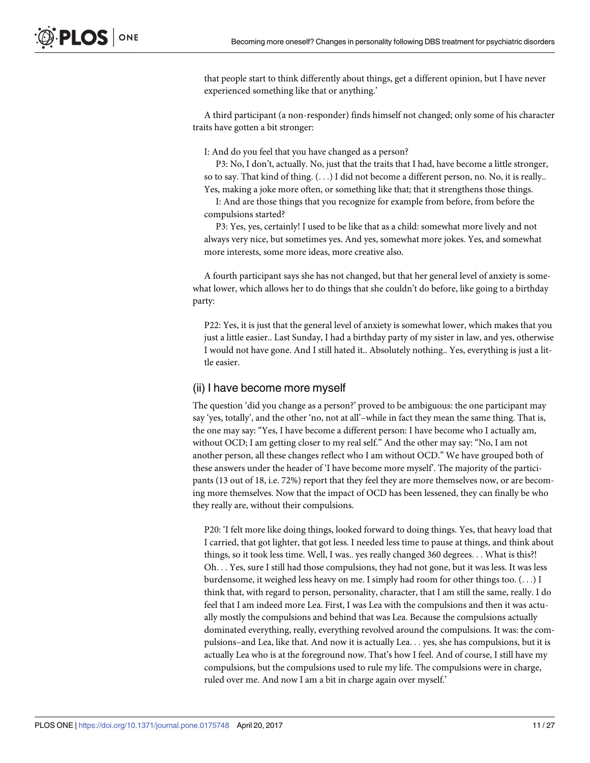that people start to think differently about things, get a different opinion, but I have never experienced something like that or anything.'

A third participant (a non-responder) finds himself not changed; only some of his character traits have gotten a bit stronger:

I: And do you feel that you have changed as a person?

P3: No, I don't, actually. No, just that the traits that I had, have become a little stronger, so to say. That kind of thing. (. . .) I did not become a different person, no. No, it is really.. Yes, making a joke more often, or something like that; that it strengthens those things.

I: And are those things that you recognize for example from before, from before the compulsions started?

P3: Yes, yes, certainly! I used to be like that as a child: somewhat more lively and not always very nice, but sometimes yes. And yes, somewhat more jokes. Yes, and somewhat more interests, some more ideas, more creative also.

A fourth participant says she has not changed, but that her general level of anxiety is somewhat lower, which allows her to do things that she couldn't do before, like going to a birthday party:

P22: Yes, it is just that the general level of anxiety is somewhat lower, which makes that you just a little easier.. Last Sunday, I had a birthday party of my sister in law, and yes, otherwise I would not have gone. And I still hated it.. Absolutely nothing.. Yes, everything is just a little easier.

#### (ii) I have become more myself

The question 'did you change as a person?' proved to be ambiguous: the one participant may say 'yes, totally', and the other 'no, not at all'–while in fact they mean the same thing. That is, the one may say: "Yes, I have become a different person: I have become who I actually am, without OCD; I am getting closer to my real self." And the other may say: "No, I am not another person, all these changes reflect who I am without OCD." We have grouped both of these answers under the header of 'I have become more myself'. The majority of the participants (13 out of 18, i.e. 72%) report that they feel they are more themselves now, or are becoming more themselves. Now that the impact of OCD has been lessened, they can finally be who they really are, without their compulsions.

P20: 'I felt more like doing things, looked forward to doing things. Yes, that heavy load that I carried, that got lighter, that got less. I needed less time to pause at things, and think about things, so it took less time. Well, I was.. yes really changed 360 degrees. . . What is this?! Oh. . . Yes, sure I still had those compulsions, they had not gone, but it was less. It was less burdensome, it weighed less heavy on me. I simply had room for other things too. (. . .) I think that, with regard to person, personality, character, that I am still the same, really. I do feel that I am indeed more Lea. First, I was Lea with the compulsions and then it was actually mostly the compulsions and behind that was Lea. Because the compulsions actually dominated everything, really, everything revolved around the compulsions. It was: the compulsions–and Lea, like that. And now it is actually Lea. . . yes, she has compulsions, but it is actually Lea who is at the foreground now. That's how I feel. And of course, I still have my compulsions, but the compulsions used to rule my life. The compulsions were in charge, ruled over me. And now I am a bit in charge again over myself.'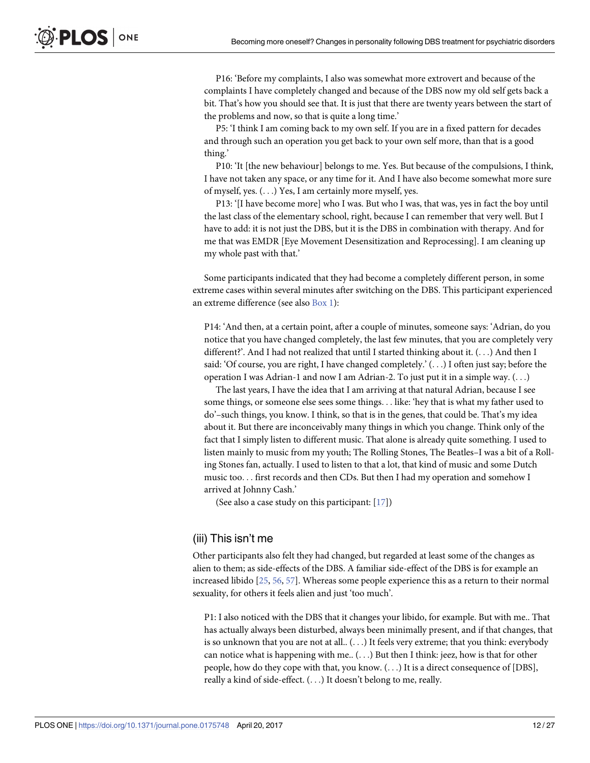<span id="page-11-0"></span>P16: 'Before my complaints, I also was somewhat more extrovert and because of the complaints I have completely changed and because of the DBS now my old self gets back a bit. That's how you should see that. It is just that there are twenty years between the start of the problems and now, so that is quite a long time.'

P5: 'I think I am coming back to my own self. If you are in a fixed pattern for decades and through such an operation you get back to your own self more, than that is a good thing.'

P10: 'It [the new behaviour] belongs to me. Yes. But because of the compulsions, I think, I have not taken any space, or any time for it. And I have also become somewhat more sure of myself, yes. (. . .) Yes, I am certainly more myself, yes.

P13: '[I have become more] who I was. But who I was, that was, yes in fact the boy until the last class of the elementary school, right, because I can remember that very well. But I have to add: it is not just the DBS, but it is the DBS in combination with therapy. And for me that was EMDR [Eye Movement Desensitization and Reprocessing]. I am cleaning up my whole past with that.'

Some participants indicated that they had become a completely different person, in some extreme cases within several minutes after switching on the DBS. This participant experienced an extreme difference (see also [Box](#page-12-0) 1):

P14: 'And then, at a certain point, after a couple of minutes, someone says: 'Adrian, do you notice that you have changed completely, the last few minutes, that you are completely very different?'. And I had not realized that until I started thinking about it. (. . .) And then I said: 'Of course, you are right, I have changed completely.' (. . .) I often just say; before the operation I was Adrian-1 and now I am Adrian-2. To just put it in a simple way. (. . .)

The last years, I have the idea that I am arriving at that natural Adrian, because I see some things, or someone else sees some things. . . like: 'hey that is what my father used to do'–such things, you know. I think, so that is in the genes, that could be. That's my idea about it. But there are inconceivably many things in which you change. Think only of the fact that I simply listen to different music. That alone is already quite something. I used to listen mainly to music from my youth; The Rolling Stones, The Beatles–I was a bit of a Rolling Stones fan, actually. I used to listen to that a lot, that kind of music and some Dutch music too. . . first records and then CDs. But then I had my operation and somehow I arrived at Johnny Cash.'

(See also a case study on this participant: [[17](#page-24-0)])

#### (iii) This isn't me

Other participants also felt they had changed, but regarded at least some of the changes as alien to them; as side-effects of the DBS. A familiar side-effect of the DBS is for example an increased libido [[25](#page-24-0), [56](#page-26-0), [57](#page-26-0)]. Whereas some people experience this as a return to their normal sexuality, for others it feels alien and just 'too much'.

P1: I also noticed with the DBS that it changes your libido, for example. But with me.. That has actually always been disturbed, always been minimally present, and if that changes, that is so unknown that you are not at all.. (. . .) It feels very extreme; that you think: everybody can notice what is happening with me.. (. . .) But then I think: jeez, how is that for other people, how do they cope with that, you know. (. . .) It is a direct consequence of [DBS], really a kind of side-effect. (. . .) It doesn't belong to me, really.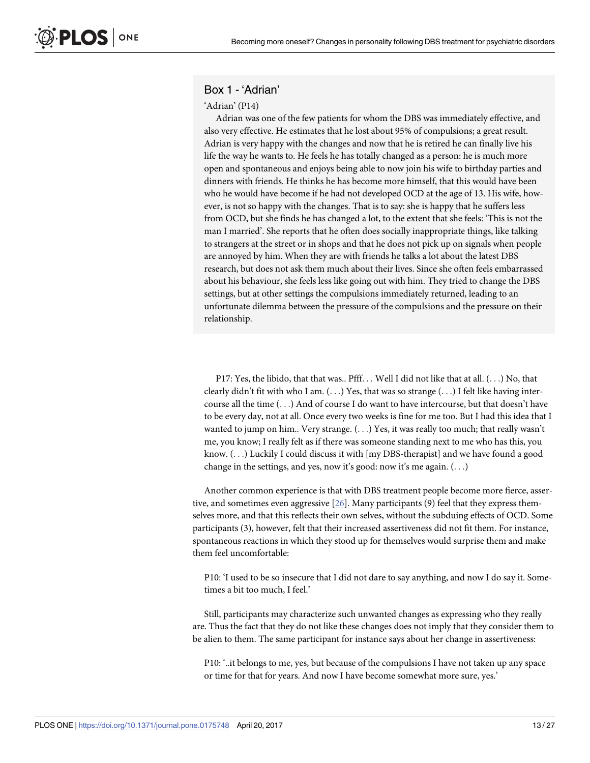## <span id="page-12-0"></span>Box 1 - 'Adrian'

#### 'Adrian' (P14)

Adrian was one of the few patients for whom the DBS was immediately effective, and also very effective. He estimates that he lost about 95% of compulsions; a great result. Adrian is very happy with the changes and now that he is retired he can finally live his life the way he wants to. He feels he has totally changed as a person: he is much more open and spontaneous and enjoys being able to now join his wife to birthday parties and dinners with friends. He thinks he has become more himself, that this would have been who he would have become if he had not developed OCD at the age of 13. His wife, however, is not so happy with the changes. That is to say: she is happy that he suffers less from OCD, but she finds he has changed a lot, to the extent that she feels: 'This is not the man I married'. She reports that he often does socially inappropriate things, like talking to strangers at the street or in shops and that he does not pick up on signals when people are annoyed by him. When they are with friends he talks a lot about the latest DBS research, but does not ask them much about their lives. Since she often feels embarrassed about his behaviour, she feels less like going out with him. They tried to change the DBS settings, but at other settings the compulsions immediately returned, leading to an unfortunate dilemma between the pressure of the compulsions and the pressure on their relationship.

P17: Yes, the libido, that that was.. Pfff. . . Well I did not like that at all. (. . .) No, that clearly didn't fit with who I am.  $(\ldots)$  Yes, that was so strange  $(\ldots)$  I felt like having intercourse all the time (. . .) And of course I do want to have intercourse, but that doesn't have to be every day, not at all. Once every two weeks is fine for me too. But I had this idea that I wanted to jump on him.. Very strange. (. . .) Yes, it was really too much; that really wasn't me, you know; I really felt as if there was someone standing next to me who has this, you know. (. . .) Luckily I could discuss it with [my DBS-therapist] and we have found a good change in the settings, and yes, now it's good: now it's me again. (. . .)

Another common experience is that with DBS treatment people become more fierce, assertive, and sometimes even aggressive [[26](#page-24-0)]. Many participants (9) feel that they express themselves more, and that this reflects their own selves, without the subduing effects of OCD. Some participants (3), however, felt that their increased assertiveness did not fit them. For instance, spontaneous reactions in which they stood up for themselves would surprise them and make them feel uncomfortable:

P10: 'I used to be so insecure that I did not dare to say anything, and now I do say it. Sometimes a bit too much, I feel.'

Still, participants may characterize such unwanted changes as expressing who they really are. Thus the fact that they do not like these changes does not imply that they consider them to be alien to them. The same participant for instance says about her change in assertiveness:

P10: '..it belongs to me, yes, but because of the compulsions I have not taken up any space or time for that for years. And now I have become somewhat more sure, yes.'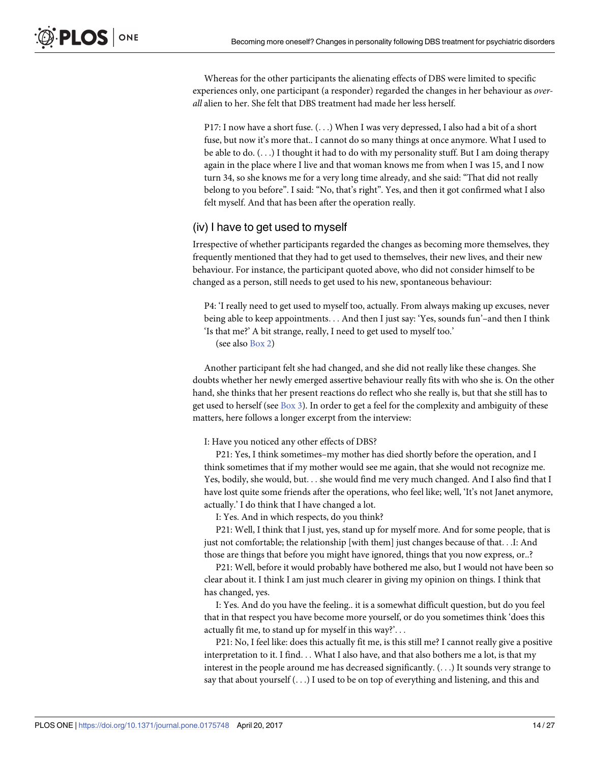Whereas for the other participants the alienating effects of DBS were limited to specific experiences only, one participant (a responder) regarded the changes in her behaviour as *overall* alien to her. She felt that DBS treatment had made her less herself.

P17: I now have a short fuse. (...) When I was very depressed, I also had a bit of a short fuse, but now it's more that.. I cannot do so many things at once anymore. What I used to be able to do.  $(...)$  I thought it had to do with my personality stuff. But I am doing therapy again in the place where I live and that woman knows me from when I was 15, and I now turn 34, so she knows me for a very long time already, and she said: "That did not really belong to you before". I said: "No, that's right". Yes, and then it got confirmed what I also felt myself. And that has been after the operation really.

## (iv) I have to get used to myself

Irrespective of whether participants regarded the changes as becoming more themselves, they frequently mentioned that they had to get used to themselves, their new lives, and their new behaviour. For instance, the participant quoted above, who did not consider himself to be changed as a person, still needs to get used to his new, spontaneous behaviour:

P4: 'I really need to get used to myself too, actually. From always making up excuses, never being able to keep appointments. . . And then I just say: 'Yes, sounds fun'–and then I think 'Is that me?' A bit strange, really, I need to get used to myself too.'

(see also [Box](#page-14-0) 2)

Another participant felt she had changed, and she did not really like these changes. She doubts whether her newly emerged assertive behaviour really fits with who she is. On the other hand, she thinks that her present reactions do reflect who she really is, but that she still has to get used to herself (see  $Box 3$  $Box 3$ ). In order to get a feel for the complexity and ambiguity of these matters, here follows a longer excerpt from the interview:

#### I: Have you noticed any other effects of DBS?

P21: Yes, I think sometimes–my mother has died shortly before the operation, and I think sometimes that if my mother would see me again, that she would not recognize me. Yes, bodily, she would, but. . . she would find me very much changed. And I also find that I have lost quite some friends after the operations, who feel like; well, 'It's not Janet anymore, actually.' I do think that I have changed a lot.

I: Yes. And in which respects, do you think?

P21: Well, I think that I just, yes, stand up for myself more. And for some people, that is just not comfortable; the relationship [with them] just changes because of that. . .I: And those are things that before you might have ignored, things that you now express, or..?

P21: Well, before it would probably have bothered me also, but I would not have been so clear about it. I think I am just much clearer in giving my opinion on things. I think that has changed, yes.

I: Yes. And do you have the feeling.. it is a somewhat difficult question, but do you feel that in that respect you have become more yourself, or do you sometimes think 'does this actually fit me, to stand up for myself in this way?'. . .

P21: No, I feel like: does this actually fit me, is this still me? I cannot really give a positive interpretation to it. I find. . . What I also have, and that also bothers me a lot, is that my interest in the people around me has decreased significantly. (. . .) It sounds very strange to say that about yourself (. . .) I used to be on top of everything and listening, and this and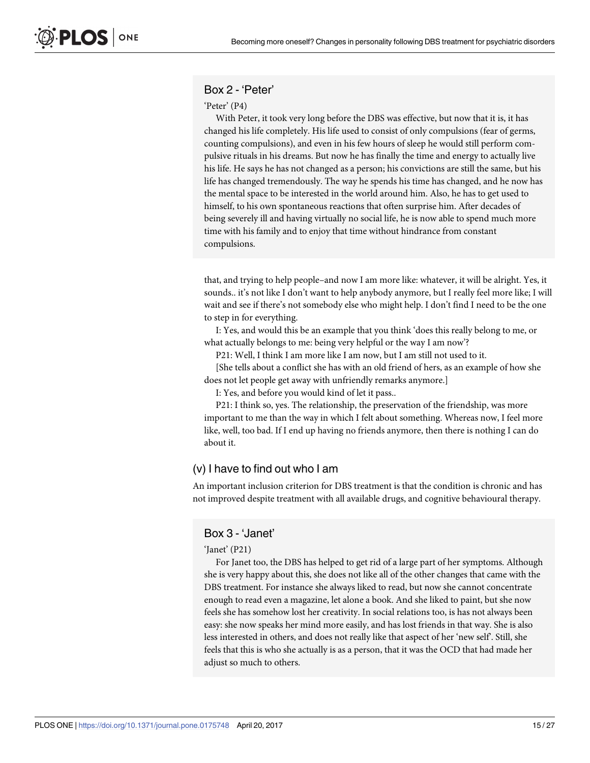## <span id="page-14-0"></span>Box 2 - 'Peter'

#### 'Peter' (P4)

With Peter, it took very long before the DBS was effective, but now that it is, it has changed his life completely. His life used to consist of only compulsions (fear of germs, counting compulsions), and even in his few hours of sleep he would still perform compulsive rituals in his dreams. But now he has finally the time and energy to actually live his life. He says he has not changed as a person; his convictions are still the same, but his life has changed tremendously. The way he spends his time has changed, and he now has the mental space to be interested in the world around him. Also, he has to get used to himself, to his own spontaneous reactions that often surprise him. After decades of being severely ill and having virtually no social life, he is now able to spend much more time with his family and to enjoy that time without hindrance from constant compulsions.

that, and trying to help people–and now I am more like: whatever, it will be alright. Yes, it sounds.. it's not like I don't want to help anybody anymore, but I really feel more like; I will wait and see if there's not somebody else who might help. I don't find I need to be the one to step in for everything.

I: Yes, and would this be an example that you think 'does this really belong to me, or what actually belongs to me: being very helpful or the way I am now'?

P21: Well, I think I am more like I am now, but I am still not used to it.

[She tells about a conflict she has with an old friend of hers, as an example of how she does not let people get away with unfriendly remarks anymore.]

I: Yes, and before you would kind of let it pass..

P21: I think so, yes. The relationship, the preservation of the friendship, was more important to me than the way in which I felt about something. Whereas now, I feel more like, well, too bad. If I end up having no friends anymore, then there is nothing I can do about it.

## (v) I have to find out who I am

An important inclusion criterion for DBS treatment is that the condition is chronic and has not improved despite treatment with all available drugs, and cognitive behavioural therapy.

#### Box 3 - 'Janet'

#### 'Janet' (P21)

For Janet too, the DBS has helped to get rid of a large part of her symptoms. Although she is very happy about this, she does not like all of the other changes that came with the DBS treatment. For instance she always liked to read, but now she cannot concentrate enough to read even a magazine, let alone a book. And she liked to paint, but she now feels she has somehow lost her creativity. In social relations too, is has not always been easy: she now speaks her mind more easily, and has lost friends in that way. She is also less interested in others, and does not really like that aspect of her 'new self'. Still, she feels that this is who she actually is as a person, that it was the OCD that had made her adjust so much to others.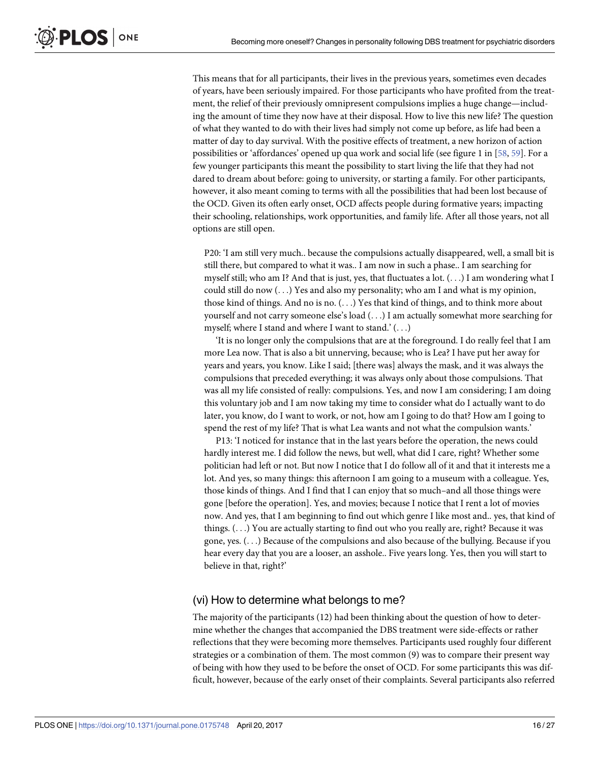<span id="page-15-0"></span>This means that for all participants, their lives in the previous years, sometimes even decades of years, have been seriously impaired. For those participants who have profited from the treatment, the relief of their previously omnipresent compulsions implies a huge change—including the amount of time they now have at their disposal. How to live this new life? The question of what they wanted to do with their lives had simply not come up before, as life had been a matter of day to day survival. With the positive effects of treatment, a new horizon of action possibilities or 'affordances' opened up qua work and social life (see figure 1 in [[58](#page-26-0), [59](#page-26-0)]. For a few younger participants this meant the possibility to start living the life that they had not dared to dream about before: going to university, or starting a family. For other participants, however, it also meant coming to terms with all the possibilities that had been lost because of the OCD. Given its often early onset, OCD affects people during formative years; impacting their schooling, relationships, work opportunities, and family life. After all those years, not all options are still open.

P20: 'I am still very much.. because the compulsions actually disappeared, well, a small bit is still there, but compared to what it was.. I am now in such a phase.. I am searching for myself still; who am I? And that is just, yes, that fluctuates a lot. (. . .) I am wondering what I could still do now  $(\ldots)$  Yes and also my personality; who am I and what is my opinion, those kind of things. And no is no. (. . .) Yes that kind of things, and to think more about yourself and not carry someone else's load (. . .) I am actually somewhat more searching for myself; where I stand and where I want to stand.' (. . .)

'It is no longer only the compulsions that are at the foreground. I do really feel that I am more Lea now. That is also a bit unnerving, because; who is Lea? I have put her away for years and years, you know. Like I said; [there was] always the mask, and it was always the compulsions that preceded everything; it was always only about those compulsions. That was all my life consisted of really: compulsions. Yes, and now I am considering; I am doing this voluntary job and I am now taking my time to consider what do I actually want to do later, you know, do I want to work, or not, how am I going to do that? How am I going to spend the rest of my life? That is what Lea wants and not what the compulsion wants.'

P13: 'I noticed for instance that in the last years before the operation, the news could hardly interest me. I did follow the news, but well, what did I care, right? Whether some politician had left or not. But now I notice that I do follow all of it and that it interests me a lot. And yes, so many things: this afternoon I am going to a museum with a colleague. Yes, those kinds of things. And I find that I can enjoy that so much–and all those things were gone [before the operation]. Yes, and movies; because I notice that I rent a lot of movies now. And yes, that I am beginning to find out which genre I like most and.. yes, that kind of things. (. . .) You are actually starting to find out who you really are, right? Because it was gone, yes. (. . .) Because of the compulsions and also because of the bullying. Because if you hear every day that you are a looser, an asshole.. Five years long. Yes, then you will start to believe in that, right?'

## (vi) How to determine what belongs to me?

The majority of the participants (12) had been thinking about the question of how to determine whether the changes that accompanied the DBS treatment were side-effects or rather reflections that they were becoming more themselves. Participants used roughly four different strategies or a combination of them. The most common (9) was to compare their present way of being with how they used to be before the onset of OCD. For some participants this was difficult, however, because of the early onset of their complaints. Several participants also referred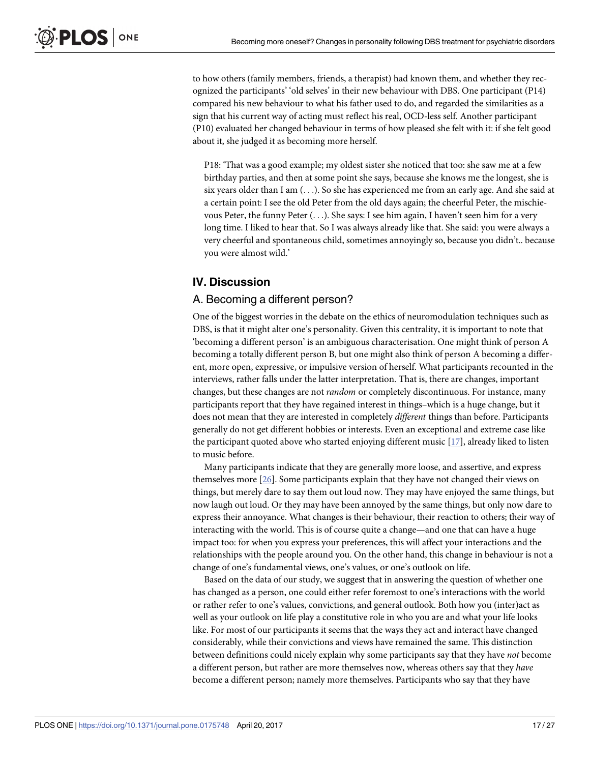to how others (family members, friends, a therapist) had known them, and whether they recognized the participants' 'old selves' in their new behaviour with DBS. One participant (P14) compared his new behaviour to what his father used to do, and regarded the similarities as a sign that his current way of acting must reflect his real, OCD-less self. Another participant (P10) evaluated her changed behaviour in terms of how pleased she felt with it: if she felt good about it, she judged it as becoming more herself.

P18: 'That was a good example; my oldest sister she noticed that too: she saw me at a few birthday parties, and then at some point she says, because she knows me the longest, she is six years older than I am (. . .). So she has experienced me from an early age. And she said at a certain point: I see the old Peter from the old days again; the cheerful Peter, the mischievous Peter, the funny Peter (. . .). She says: I see him again, I haven't seen him for a very long time. I liked to hear that. So I was always already like that. She said: you were always a very cheerful and spontaneous child, sometimes annoyingly so, because you didn't.. because you were almost wild.'

## **IV. Discussion**

#### A. Becoming a different person?

One of the biggest worries in the debate on the ethics of neuromodulation techniques such as DBS, is that it might alter one's personality. Given this centrality, it is important to note that 'becoming a different person' is an ambiguous characterisation. One might think of person A becoming a totally different person B, but one might also think of person A becoming a different, more open, expressive, or impulsive version of herself. What participants recounted in the interviews, rather falls under the latter interpretation. That is, there are changes, important changes, but these changes are not *random* or completely discontinuous. For instance, many participants report that they have regained interest in things–which is a huge change, but it does not mean that they are interested in completely *different* things than before. Participants generally do not get different hobbies or interests. Even an exceptional and extreme case like the participant quoted above who started enjoying different music [\[17\]](#page-24-0), already liked to listen to music before.

Many participants indicate that they are generally more loose, and assertive, and express themselves more [\[26\]](#page-24-0). Some participants explain that they have not changed their views on things, but merely dare to say them out loud now. They may have enjoyed the same things, but now laugh out loud. Or they may have been annoyed by the same things, but only now dare to express their annoyance. What changes is their behaviour, their reaction to others; their way of interacting with the world. This is of course quite a change—and one that can have a huge impact too: for when you express your preferences, this will affect your interactions and the relationships with the people around you. On the other hand, this change in behaviour is not a change of one's fundamental views, one's values, or one's outlook on life.

Based on the data of our study, we suggest that in answering the question of whether one has changed as a person, one could either refer foremost to one's interactions with the world or rather refer to one's values, convictions, and general outlook. Both how you (inter)act as well as your outlook on life play a constitutive role in who you are and what your life looks like. For most of our participants it seems that the ways they act and interact have changed considerably, while their convictions and views have remained the same. This distinction between definitions could nicely explain why some participants say that they have *not* become a different person, but rather are more themselves now, whereas others say that they *have* become a different person; namely more themselves. Participants who say that they have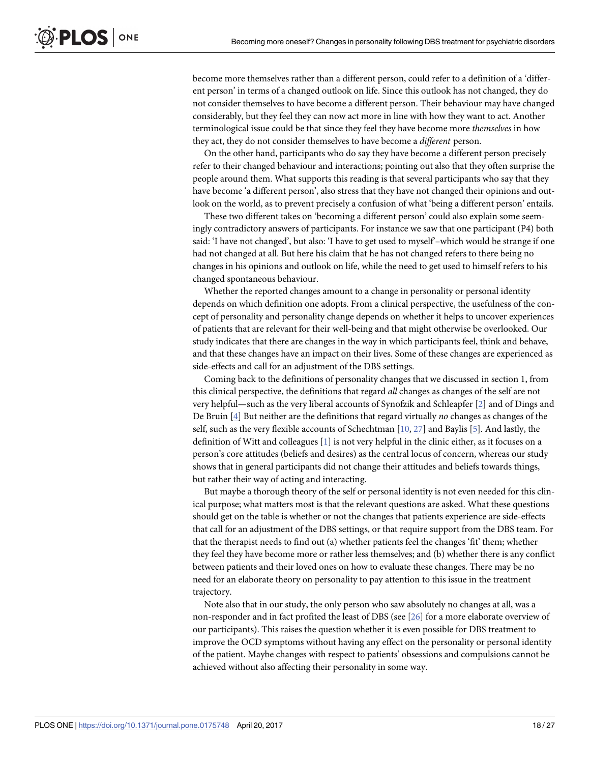become more themselves rather than a different person, could refer to a definition of a 'different person' in terms of a changed outlook on life. Since this outlook has not changed, they do not consider themselves to have become a different person. Their behaviour may have changed considerably, but they feel they can now act more in line with how they want to act. Another terminological issue could be that since they feel they have become more *themselves* in how they act, they do not consider themselves to have become a *different* person.

On the other hand, participants who do say they have become a different person precisely refer to their changed behaviour and interactions; pointing out also that they often surprise the people around them. What supports this reading is that several participants who say that they have become 'a different person', also stress that they have not changed their opinions and outlook on the world, as to prevent precisely a confusion of what 'being a different person' entails.

These two different takes on 'becoming a different person' could also explain some seemingly contradictory answers of participants. For instance we saw that one participant (P4) both said: 'I have not changed', but also: 'I have to get used to myself'–which would be strange if one had not changed at all. But here his claim that he has not changed refers to there being no changes in his opinions and outlook on life, while the need to get used to himself refers to his changed spontaneous behaviour.

Whether the reported changes amount to a change in personality or personal identity depends on which definition one adopts. From a clinical perspective, the usefulness of the concept of personality and personality change depends on whether it helps to uncover experiences of patients that are relevant for their well-being and that might otherwise be overlooked. Our study indicates that there are changes in the way in which participants feel, think and behave, and that these changes have an impact on their lives. Some of these changes are experienced as side-effects and call for an adjustment of the DBS settings.

Coming back to the definitions of personality changes that we discussed in section 1, from this clinical perspective, the definitions that regard *all* changes as changes of the self are not very helpful—such as the very liberal accounts of Synofzik and Schleapfer [[2](#page-23-0)] and of Dings and De Bruin [\[4](#page-23-0)] But neither are the definitions that regard virtually *no* changes as changes of the self, such as the very flexible accounts of Schechtman [\[10,](#page-23-0) [27\]](#page-24-0) and Baylis [[5\]](#page-23-0). And lastly, the definition of Witt and colleagues [[1](#page-23-0)] is not very helpful in the clinic either, as it focuses on a person's core attitudes (beliefs and desires) as the central locus of concern, whereas our study shows that in general participants did not change their attitudes and beliefs towards things, but rather their way of acting and interacting.

But maybe a thorough theory of the self or personal identity is not even needed for this clinical purpose; what matters most is that the relevant questions are asked. What these questions should get on the table is whether or not the changes that patients experience are side-effects that call for an adjustment of the DBS settings, or that require support from the DBS team. For that the therapist needs to find out (a) whether patients feel the changes 'fit' them; whether they feel they have become more or rather less themselves; and (b) whether there is any conflict between patients and their loved ones on how to evaluate these changes. There may be no need for an elaborate theory on personality to pay attention to this issue in the treatment trajectory.

Note also that in our study, the only person who saw absolutely no changes at all, was a non-responder and in fact profited the least of DBS (see [[26](#page-24-0)] for a more elaborate overview of our participants). This raises the question whether it is even possible for DBS treatment to improve the OCD symptoms without having any effect on the personality or personal identity of the patient. Maybe changes with respect to patients' obsessions and compulsions cannot be achieved without also affecting their personality in some way.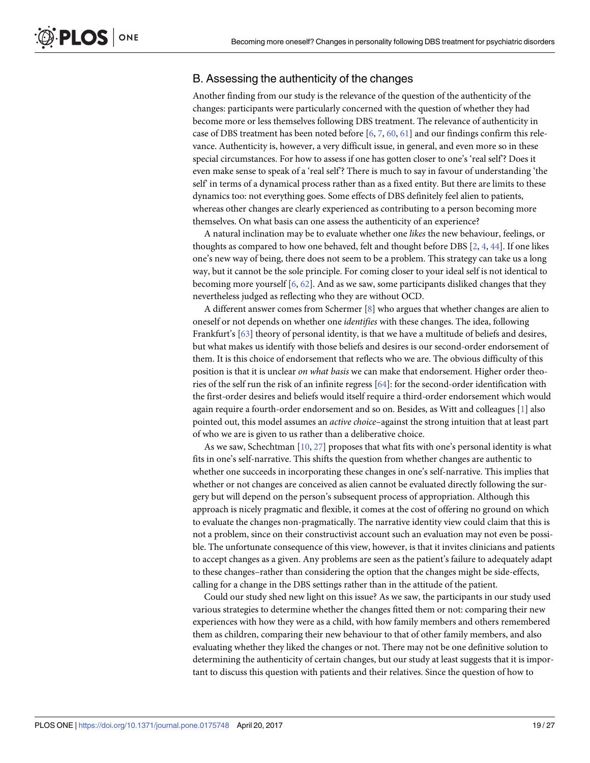## <span id="page-18-0"></span>B. Assessing the authenticity of the changes

Another finding from our study is the relevance of the question of the authenticity of the changes: participants were particularly concerned with the question of whether they had become more or less themselves following DBS treatment. The relevance of authenticity in case of DBS treatment has been noted before [[6,](#page-23-0) [7,](#page-23-0) [60,](#page-26-0) [61\]](#page-26-0) and our findings confirm this relevance. Authenticity is, however, a very difficult issue, in general, and even more so in these special circumstances. For how to assess if one has gotten closer to one's 'real self'? Does it even make sense to speak of a 'real self'? There is much to say in favour of understanding 'the self' in terms of a dynamical process rather than as a fixed entity. But there are limits to these dynamics too: not everything goes. Some effects of DBS definitely feel alien to patients, whereas other changes are clearly experienced as contributing to a person becoming more themselves. On what basis can one assess the authenticity of an experience?

A natural inclination may be to evaluate whether one *likes* the new behaviour, feelings, or thoughts as compared to how one behaved, felt and thought before DBS [[2](#page-23-0), [4,](#page-23-0) [44\]](#page-25-0). If one likes one's new way of being, there does not seem to be a problem. This strategy can take us a long way, but it cannot be the sole principle. For coming closer to your ideal self is not identical to becoming more yourself [[6](#page-23-0), [62](#page-26-0)]. And as we saw, some participants disliked changes that they nevertheless judged as reflecting who they are without OCD.

A different answer comes from Schermer [[8](#page-23-0)] who argues that whether changes are alien to oneself or not depends on whether one *identifies* with these changes. The idea, following Frankfurt's [\[63](#page-26-0)] theory of personal identity, is that we have a multitude of beliefs and desires, but what makes us identify with those beliefs and desires is our second-order endorsement of them. It is this choice of endorsement that reflects who we are. The obvious difficulty of this position is that it is unclear *on what basis* we can make that endorsement. Higher order theories of the self run the risk of an infinite regress [\[64\]](#page-26-0): for the second-order identification with the first-order desires and beliefs would itself require a third-order endorsement which would again require a fourth-order endorsement and so on. Besides, as Witt and colleagues [\[1\]](#page-23-0) also pointed out, this model assumes an *active choice*–against the strong intuition that at least part of who we are is given to us rather than a deliberative choice.

As we saw, Schechtman  $[10, 27]$  $[10, 27]$  $[10, 27]$  $[10, 27]$  $[10, 27]$  proposes that what fits with one's personal identity is what fits in one's self-narrative. This shifts the question from whether changes are authentic to whether one succeeds in incorporating these changes in one's self-narrative. This implies that whether or not changes are conceived as alien cannot be evaluated directly following the surgery but will depend on the person's subsequent process of appropriation. Although this approach is nicely pragmatic and flexible, it comes at the cost of offering no ground on which to evaluate the changes non-pragmatically. The narrative identity view could claim that this is not a problem, since on their constructivist account such an evaluation may not even be possible. The unfortunate consequence of this view, however, is that it invites clinicians and patients to accept changes as a given. Any problems are seen as the patient's failure to adequately adapt to these changes–rather than considering the option that the changes might be side-effects, calling for a change in the DBS settings rather than in the attitude of the patient.

Could our study shed new light on this issue? As we saw, the participants in our study used various strategies to determine whether the changes fitted them or not: comparing their new experiences with how they were as a child, with how family members and others remembered them as children, comparing their new behaviour to that of other family members, and also evaluating whether they liked the changes or not. There may not be one definitive solution to determining the authenticity of certain changes, but our study at least suggests that it is important to discuss this question with patients and their relatives. Since the question of how to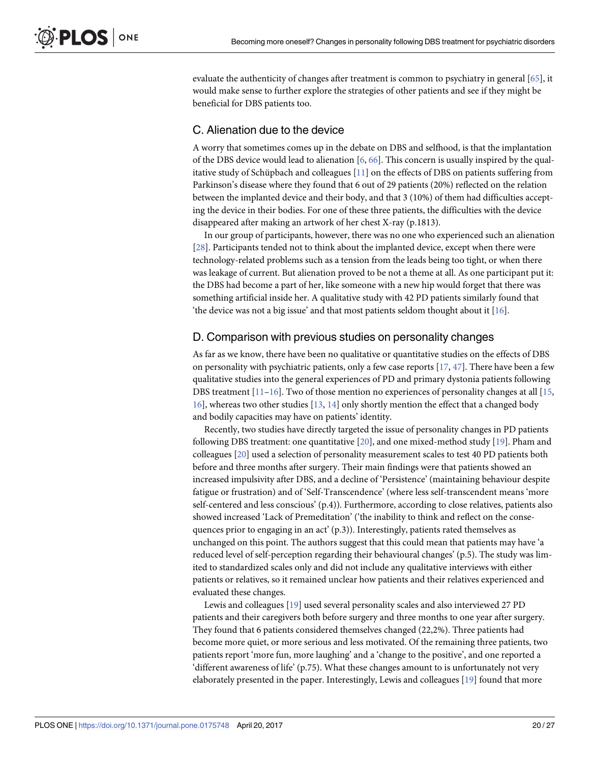<span id="page-19-0"></span>evaluate the authenticity of changes after treatment is common to psychiatry in general [[65](#page-26-0)], it would make sense to further explore the strategies of other patients and see if they might be beneficial for DBS patients too.

## C. Alienation due to the device

A worry that sometimes comes up in the debate on DBS and selfhood, is that the implantation of the DBS device would lead to alienation [[6](#page-23-0), [66](#page-26-0)]. This concern is usually inspired by the qualitative study of Schüpbach and colleagues  $[11]$  on the effects of DBS on patients suffering from Parkinson's disease where they found that 6 out of 29 patients (20%) reflected on the relation between the implanted device and their body, and that 3 (10%) of them had difficulties accepting the device in their bodies. For one of these three patients, the difficulties with the device disappeared after making an artwork of her chest X-ray (p.1813).

In our group of participants, however, there was no one who experienced such an alienation [\[28\]](#page-24-0). Participants tended not to think about the implanted device, except when there were technology-related problems such as a tension from the leads being too tight, or when there was leakage of current. But alienation proved to be not a theme at all. As one participant put it: the DBS had become a part of her, like someone with a new hip would forget that there was something artificial inside her. A qualitative study with 42 PD patients similarly found that 'the device was not a big issue' and that most patients seldom thought about it [[16](#page-24-0)].

#### D. Comparison with previous studies on personality changes

As far as we know, there have been no qualitative or quantitative studies on the effects of DBS on personality with psychiatric patients, only a few case reports [\[17,](#page-24-0) [47](#page-25-0)]. There have been a few qualitative studies into the general experiences of PD and primary dystonia patients following DBS treatment [[11](#page-23-0)-[16](#page-24-0)]. Two of those mention no experiences of personality changes at all [\[15,](#page-24-0) [16\]](#page-24-0), whereas two other studies [[13](#page-23-0), [14](#page-24-0)] only shortly mention the effect that a changed body and bodily capacities may have on patients' identity.

Recently, two studies have directly targeted the issue of personality changes in PD patients following DBS treatment: one quantitative [[20](#page-24-0)], and one mixed-method study [\[19\]](#page-24-0). Pham and colleagues [\[20\]](#page-24-0) used a selection of personality measurement scales to test 40 PD patients both before and three months after surgery. Their main findings were that patients showed an increased impulsivity after DBS, and a decline of 'Persistence' (maintaining behaviour despite fatigue or frustration) and of 'Self-Transcendence' (where less self-transcendent means 'more self-centered and less conscious' (p.4)). Furthermore, according to close relatives, patients also showed increased 'Lack of Premeditation' ('the inability to think and reflect on the consequences prior to engaging in an act' (p.3)). Interestingly, patients rated themselves as unchanged on this point. The authors suggest that this could mean that patients may have 'a reduced level of self-perception regarding their behavioural changes' (p.5). The study was limited to standardized scales only and did not include any qualitative interviews with either patients or relatives, so it remained unclear how patients and their relatives experienced and evaluated these changes.

Lewis and colleagues [\[19\]](#page-24-0) used several personality scales and also interviewed 27 PD patients and their caregivers both before surgery and three months to one year after surgery. They found that 6 patients considered themselves changed (22,2%). Three patients had become more quiet, or more serious and less motivated. Of the remaining three patients, two patients report 'more fun, more laughing' and a 'change to the positive', and one reported a 'different awareness of life' (p.75). What these changes amount to is unfortunately not very elaborately presented in the paper. Interestingly, Lewis and colleagues [\[19\]](#page-24-0) found that more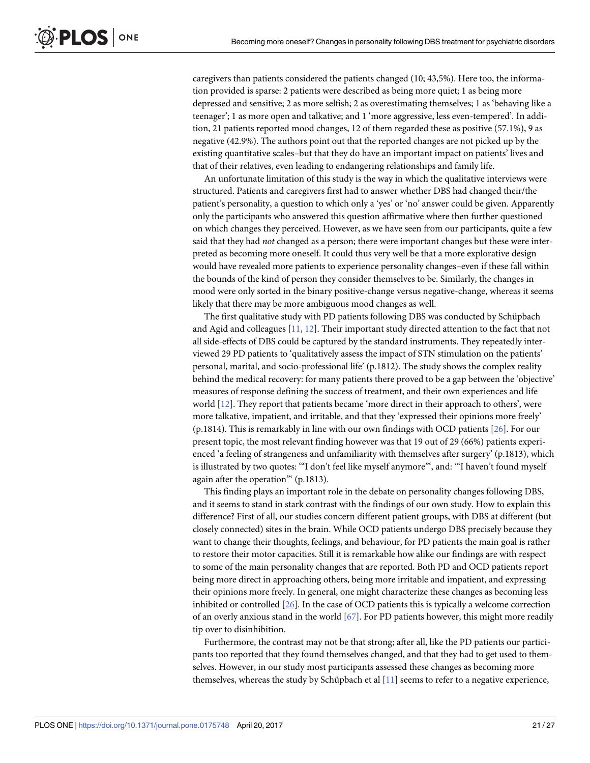<span id="page-20-0"></span>caregivers than patients considered the patients changed (10; 43,5%). Here too, the information provided is sparse: 2 patients were described as being more quiet; 1 as being more depressed and sensitive; 2 as more selfish; 2 as overestimating themselves; 1 as 'behaving like a teenager'; 1 as more open and talkative; and 1 'more aggressive, less even-tempered'. In addition, 21 patients reported mood changes, 12 of them regarded these as positive (57.1%), 9 as negative (42.9%). The authors point out that the reported changes are not picked up by the existing quantitative scales–but that they do have an important impact on patients' lives and that of their relatives, even leading to endangering relationships and family life.

An unfortunate limitation of this study is the way in which the qualitative interviews were structured. Patients and caregivers first had to answer whether DBS had changed their/the patient's personality, a question to which only a 'yes' or 'no' answer could be given. Apparently only the participants who answered this question affirmative where then further questioned on which changes they perceived. However, as we have seen from our participants, quite a few said that they had *not* changed as a person; there were important changes but these were interpreted as becoming more oneself. It could thus very well be that a more explorative design would have revealed more patients to experience personality changes–even if these fall within the bounds of the kind of person they consider themselves to be. Similarly, the changes in mood were only sorted in the binary positive-change versus negative-change, whereas it seems likely that there may be more ambiguous mood changes as well.

The first qualitative study with PD patients following DBS was conducted by Schüpbach and Agid and colleagues [\[11,](#page-23-0) [12\]](#page-23-0). Their important study directed attention to the fact that not all side-effects of DBS could be captured by the standard instruments. They repeatedly interviewed 29 PD patients to 'qualitatively assess the impact of STN stimulation on the patients' personal, marital, and socio-professional life' (p.1812). The study shows the complex reality behind the medical recovery: for many patients there proved to be a gap between the 'objective' measures of response defining the success of treatment, and their own experiences and life world [\[12](#page-23-0)]. They report that patients became 'more direct in their approach to others', were more talkative, impatient, and irritable, and that they 'expressed their opinions more freely' (p.1814). This is remarkably in line with our own findings with OCD patients [[26](#page-24-0)]. For our present topic, the most relevant finding however was that 19 out of 29 (66%) patients experienced 'a feeling of strangeness and unfamiliarity with themselves after surgery' (p.1813), which is illustrated by two quotes: "I don't feel like myself anymore", and: "I haven't found myself again after the operation"' (p.1813).

This finding plays an important role in the debate on personality changes following DBS, and it seems to stand in stark contrast with the findings of our own study. How to explain this difference? First of all, our studies concern different patient groups, with DBS at different (but closely connected) sites in the brain. While OCD patients undergo DBS precisely because they want to change their thoughts, feelings, and behaviour, for PD patients the main goal is rather to restore their motor capacities. Still it is remarkable how alike our findings are with respect to some of the main personality changes that are reported. Both PD and OCD patients report being more direct in approaching others, being more irritable and impatient, and expressing their opinions more freely. In general, one might characterize these changes as becoming less inhibited or controlled [\[26\]](#page-24-0). In the case of OCD patients this is typically a welcome correction of an overly anxious stand in the world [\[67\]](#page-26-0). For PD patients however, this might more readily tip over to disinhibition.

Furthermore, the contrast may not be that strong; after all, like the PD patients our participants too reported that they found themselves changed, and that they had to get used to themselves. However, in our study most participants assessed these changes as becoming more themselves, whereas the study by Schüpbach et al  $[11]$  seems to refer to a negative experience,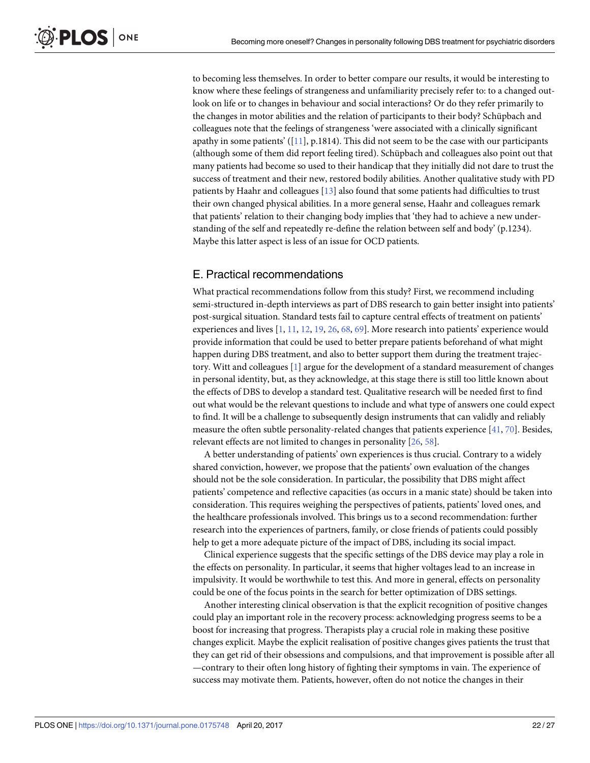<span id="page-21-0"></span>to becoming less themselves. In order to better compare our results, it would be interesting to know where these feelings of strangeness and unfamiliarity precisely refer to: to a changed outlook on life or to changes in behaviour and social interactions? Or do they refer primarily to the changes in motor abilities and the relation of participants to their body? Schüpbach and colleagues note that the feelings of strangeness 'were associated with a clinically significant apathy in some patients'  $([11], p.1814)$  $([11], p.1814)$  $([11], p.1814)$ . This did not seem to be the case with our participants (although some of them did report feeling tired). Schüpbach and colleagues also point out that many patients had become so used to their handicap that they initially did not dare to trust the success of treatment and their new, restored bodily abilities. Another qualitative study with PD patients by Haahr and colleagues [[13](#page-23-0)] also found that some patients had difficulties to trust their own changed physical abilities. In a more general sense, Haahr and colleagues remark that patients' relation to their changing body implies that 'they had to achieve a new understanding of the self and repeatedly re-define the relation between self and body' (p.1234). Maybe this latter aspect is less of an issue for OCD patients.

## E. Practical recommendations

What practical recommendations follow from this study? First, we recommend including semi-structured in-depth interviews as part of DBS research to gain better insight into patients' post-surgical situation. Standard tests fail to capture central effects of treatment on patients' experiences and lives [\[1,](#page-23-0) [11,](#page-23-0) [12,](#page-23-0) [19,](#page-24-0) [26,](#page-24-0) [68,](#page-26-0) [69\]](#page-26-0). More research into patients' experience would provide information that could be used to better prepare patients beforehand of what might happen during DBS treatment, and also to better support them during the treatment trajectory. Witt and colleagues [[1](#page-23-0)] argue for the development of a standard measurement of changes in personal identity, but, as they acknowledge, at this stage there is still too little known about the effects of DBS to develop a standard test. Qualitative research will be needed first to find out what would be the relevant questions to include and what type of answers one could expect to find. It will be a challenge to subsequently design instruments that can validly and reliably measure the often subtle personality-related changes that patients experience [\[41,](#page-25-0) [70\]](#page-26-0). Besides, relevant effects are not limited to changes in personality [[26](#page-24-0), [58](#page-26-0)].

A better understanding of patients' own experiences is thus crucial. Contrary to a widely shared conviction, however, we propose that the patients' own evaluation of the changes should not be the sole consideration. In particular, the possibility that DBS might affect patients' competence and reflective capacities (as occurs in a manic state) should be taken into consideration. This requires weighing the perspectives of patients, patients' loved ones, and the healthcare professionals involved. This brings us to a second recommendation: further research into the experiences of partners, family, or close friends of patients could possibly help to get a more adequate picture of the impact of DBS, including its social impact.

Clinical experience suggests that the specific settings of the DBS device may play a role in the effects on personality. In particular, it seems that higher voltages lead to an increase in impulsivity. It would be worthwhile to test this. And more in general, effects on personality could be one of the focus points in the search for better optimization of DBS settings.

Another interesting clinical observation is that the explicit recognition of positive changes could play an important role in the recovery process: acknowledging progress seems to be a boost for increasing that progress. Therapists play a crucial role in making these positive changes explicit. Maybe the explicit realisation of positive changes gives patients the trust that they can get rid of their obsessions and compulsions, and that improvement is possible after all —contrary to their often long history of fighting their symptoms in vain. The experience of success may motivate them. Patients, however, often do not notice the changes in their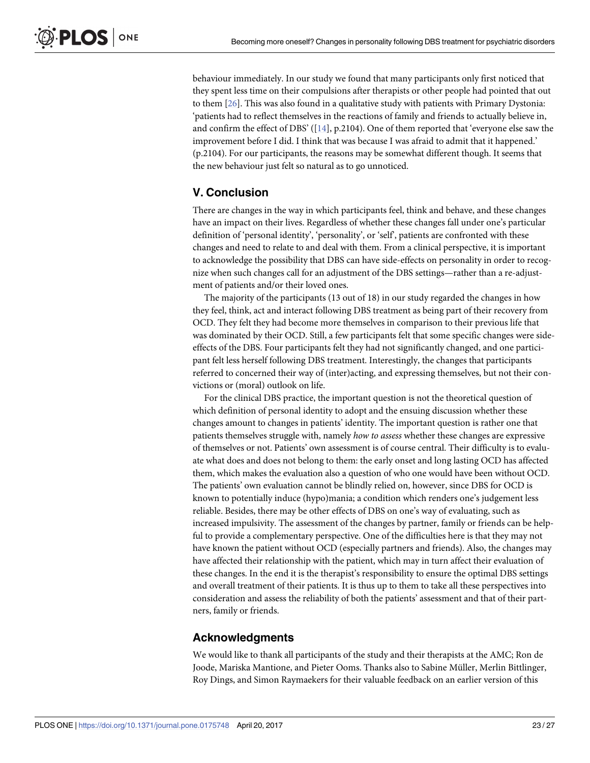behaviour immediately. In our study we found that many participants only first noticed that they spent less time on their compulsions after therapists or other people had pointed that out to them [[26](#page-24-0)]. This was also found in a qualitative study with patients with Primary Dystonia: 'patients had to reflect themselves in the reactions of family and friends to actually believe in, and confirm the effect of DBS' ([\[14\]](#page-24-0), p.2104). One of them reported that 'everyone else saw the improvement before I did. I think that was because I was afraid to admit that it happened.' (p.2104). For our participants, the reasons may be somewhat different though. It seems that the new behaviour just felt so natural as to go unnoticed.

## **V. Conclusion**

There are changes in the way in which participants feel, think and behave, and these changes have an impact on their lives. Regardless of whether these changes fall under one's particular definition of 'personal identity', 'personality', or 'self', patients are confronted with these changes and need to relate to and deal with them. From a clinical perspective, it is important to acknowledge the possibility that DBS can have side-effects on personality in order to recognize when such changes call for an adjustment of the DBS settings—rather than a re-adjustment of patients and/or their loved ones.

The majority of the participants (13 out of 18) in our study regarded the changes in how they feel, think, act and interact following DBS treatment as being part of their recovery from OCD. They felt they had become more themselves in comparison to their previous life that was dominated by their OCD. Still, a few participants felt that some specific changes were sideeffects of the DBS. Four participants felt they had not significantly changed, and one participant felt less herself following DBS treatment. Interestingly, the changes that participants referred to concerned their way of (inter)acting, and expressing themselves, but not their convictions or (moral) outlook on life.

For the clinical DBS practice, the important question is not the theoretical question of which definition of personal identity to adopt and the ensuing discussion whether these changes amount to changes in patients' identity. The important question is rather one that patients themselves struggle with, namely *how to assess* whether these changes are expressive of themselves or not. Patients' own assessment is of course central. Their difficulty is to evaluate what does and does not belong to them: the early onset and long lasting OCD has affected them, which makes the evaluation also a question of who one would have been without OCD. The patients' own evaluation cannot be blindly relied on, however, since DBS for OCD is known to potentially induce (hypo)mania; a condition which renders one's judgement less reliable. Besides, there may be other effects of DBS on one's way of evaluating, such as increased impulsivity. The assessment of the changes by partner, family or friends can be helpful to provide a complementary perspective. One of the difficulties here is that they may not have known the patient without OCD (especially partners and friends). Also, the changes may have affected their relationship with the patient, which may in turn affect their evaluation of these changes. In the end it is the therapist's responsibility to ensure the optimal DBS settings and overall treatment of their patients. It is thus up to them to take all these perspectives into consideration and assess the reliability of both the patients' assessment and that of their partners, family or friends.

## **Acknowledgments**

We would like to thank all participants of the study and their therapists at the AMC; Ron de Joode, Mariska Mantione, and Pieter Ooms. Thanks also to Sabine Müller, Merlin Bittlinger, Roy Dings, and Simon Raymaekers for their valuable feedback on an earlier version of this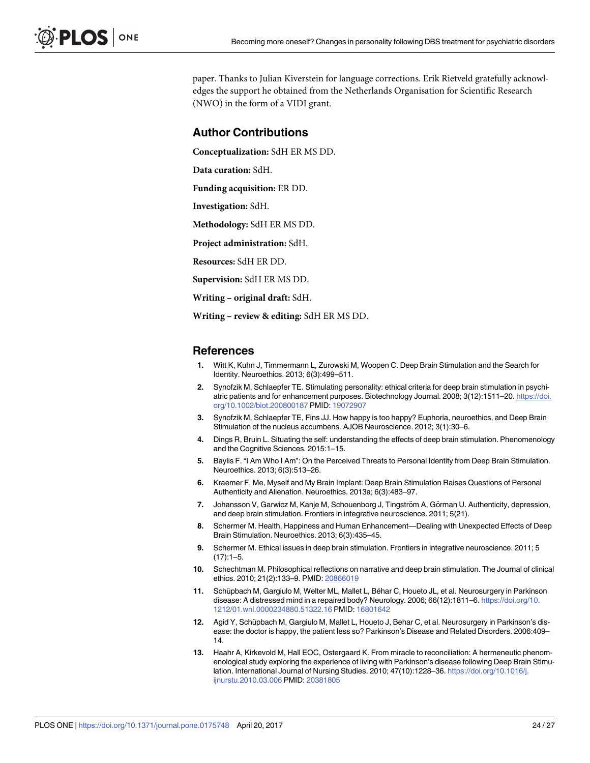<span id="page-23-0"></span>paper. Thanks to Julian Kiverstein for language corrections. Erik Rietveld gratefully acknowledges the support he obtained from the Netherlands Organisation for Scientific Research (NWO) in the form of a VIDI grant.

#### **Author Contributions**

**Conceptualization:** SdH ER MS DD.

**Data curation:** SdH.

**Funding acquisition:** ER DD.

**Investigation:** SdH.

**Methodology:** SdH ER MS DD.

**Project administration:** SdH.

**Resources:** SdH ER DD.

**Supervision:** SdH ER MS DD.

**Writing – original draft:** SdH.

**Writing – review & editing:** SdH ER MS DD.

#### **References**

- **[1](#page-0-0).** Witt K, Kuhn J, Timmermann L, Zurowski M, Woopen C. Deep Brain Stimulation and the Search for Identity. Neuroethics. 2013; 6(3):499–511.
- **[2](#page-1-0).** Synofzik M, Schlaepfer TE. Stimulating personality: ethical criteria for deep brain stimulation in psychiatric patients and for enhancement purposes. Biotechnology Journal. 2008; 3(12):1511–20. [https://doi.](https://doi.org/10.1002/biot.200800187) [org/10.1002/biot.200800187](https://doi.org/10.1002/biot.200800187) PMID: [19072907](http://www.ncbi.nlm.nih.gov/pubmed/19072907)
- **[3](#page-0-0).** Synofzik M, Schlaepfer TE, Fins JJ. How happy is too happy? Euphoria, neuroethics, and Deep Brain Stimulation of the nucleus accumbens. AJOB Neuroscience. 2012; 3(1):30–6.
- **[4](#page-4-0).** Dings R, Bruin L. Situating the self: understanding the effects of deep brain stimulation. Phenomenology and the Cognitive Sciences. 2015:1–15.
- **[5](#page-3-0).** Baylis F. "I Am Who I Am": On the Perceived Threats to Personal Identity from Deep Brain Stimulation. Neuroethics. 2013; 6(3):513–26.
- **[6](#page-2-0).** Kraemer F. Me, Myself and My Brain Implant: Deep Brain Stimulation Raises Questions of Personal Authenticity and Alienation. Neuroethics. 2013a; 6(3):483–97.
- **[7](#page-6-0).** Johansson V, Garwicz M, Kanje M, Schouenborg J, Tingström A, Görman U. Authenticity, depression, and deep brain stimulation. Frontiers in integrative neuroscience. 2011; 5(21).
- **[8](#page-6-0).** Schermer M. Health, Happiness and Human Enhancement—Dealing with Unexpected Effects of Deep Brain Stimulation. Neuroethics. 2013; 6(3):435–45.
- **[9](#page-6-0).** Schermer M. Ethical issues in deep brain stimulation. Frontiers in integrative neuroscience. 2011; 5  $(17):1-5.$
- **[10](#page-0-0).** Schechtman M. Philosophical reflections on narrative and deep brain stimulation. The Journal of clinical ethics. 2010; 21(2):133–9. PMID: [20866019](http://www.ncbi.nlm.nih.gov/pubmed/20866019)
- [11](#page-0-0). Schüpbach M, Gargiulo M, Welter ML, Mallet L, Béhar C, Houeto JL, et al. Neurosurgery in Parkinson disease: A distressed mind in a repaired body? Neurology. 2006; 66(12):1811–6. [https://doi.org/10.](https://doi.org/10.1212/01.wnl.0000234880.51322.16) [1212/01.wnl.0000234880.51322.16](https://doi.org/10.1212/01.wnl.0000234880.51322.16) PMID: [16801642](http://www.ncbi.nlm.nih.gov/pubmed/16801642)
- **[12](#page-5-0).** Agid Y, Schüpbach M, Gargiulo M, Mallet L, Houeto J, Behar C, et al. Neurosurgery in Parkinson's disease: the doctor is happy, the patient less so? Parkinson's Disease and Related Disorders. 2006:409– 14.
- **[13](#page-8-0).** Haahr A, Kirkevold M, Hall EOC, Ostergaard K. From miracle to reconciliation: A hermeneutic phenomenological study exploring the experience of living with Parkinson's disease following Deep Brain Stimulation. International Journal of Nursing Studies. 2010; 47(10):1228–36. [https://doi.org/10.1016/j.](https://doi.org/10.1016/j.ijnurstu.2010.03.006) [ijnurstu.2010.03.006](https://doi.org/10.1016/j.ijnurstu.2010.03.006) PMID: [20381805](http://www.ncbi.nlm.nih.gov/pubmed/20381805)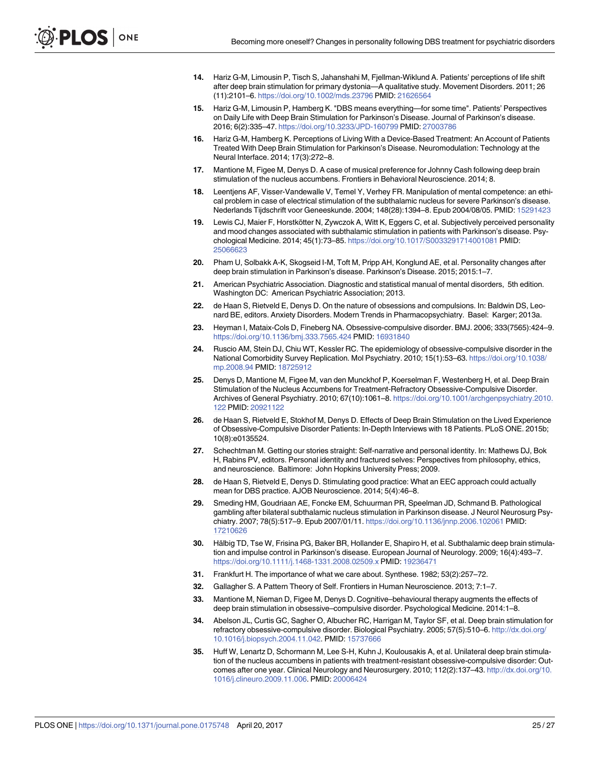- <span id="page-24-0"></span>**[14](#page-19-0).** Hariz G-M, Limousin P, Tisch S, Jahanshahi M, Fjellman-Wiklund A. Patients' perceptions of life shift after deep brain stimulation for primary dystonia—A qualitative study. Movement Disorders. 2011; 26 (11):2101–6. <https://doi.org/10.1002/mds.23796> PMID: [21626564](http://www.ncbi.nlm.nih.gov/pubmed/21626564)
- **[15](#page-19-0).** Hariz G-M, Limousin P, Hamberg K. "DBS means everything—for some time". Patients' Perspectives on Daily Life with Deep Brain Stimulation for Parkinson's Disease. Journal of Parkinson's disease. 2016; 6(2):335–47. <https://doi.org/10.3233/JPD-160799> PMID: [27003786](http://www.ncbi.nlm.nih.gov/pubmed/27003786)
- **[16](#page-0-0).** Hariz G-M, Hamberg K. Perceptions of Living With a Device-Based Treatment: An Account of Patients Treated With Deep Brain Stimulation for Parkinson's Disease. Neuromodulation: Technology at the Neural Interface. 2014; 17(3):272–8.
- **[17](#page-0-0).** Mantione M, Figee M, Denys D. A case of musical preference for Johnny Cash following deep brain stimulation of the nucleus accumbens. Frontiers in Behavioral Neuroscience. 2014; 8.
- **[18](#page-0-0).** Leentjens AF, Visser-Vandewalle V, Temel Y, Verhey FR. Manipulation of mental competence: an ethical problem in case of electrical stimulation of the subthalamic nucleus for severe Parkinson's disease. Nederlands Tijdschrift voor Geneeskunde. 2004; 148(28):1394–8. Epub 2004/08/05. PMID: [15291423](http://www.ncbi.nlm.nih.gov/pubmed/15291423)
- **[19](#page-0-0).** Lewis CJ, Maier F, Horstkötter N, Zywczok A, Witt K, Eggers C, et al. Subjectively perceived personality and mood changes associated with subthalamic stimulation in patients with Parkinson's disease. Psychological Medicine. 2014; 45(1):73–85. <https://doi.org/10.1017/S0033291714001081> PMID: [25066623](http://www.ncbi.nlm.nih.gov/pubmed/25066623)
- **[20](#page-0-0).** Pham U, Solbakk A-K, Skogseid I-M, Toft M, Pripp AH, Konglund AE, et al. Personality changes after deep brain stimulation in Parkinson's disease. Parkinson's Disease. 2015; 2015:1–7.
- **[21](#page-1-0).** American Psychiatric Association. Diagnostic and statistical manual of mental disorders, 5th edition. Washington DC: American Psychiatric Association; 2013.
- **[22](#page-1-0).** de Haan S, Rietveld E, Denys D. On the nature of obsessions and compulsions. In: Baldwin DS, Leonard BE, editors. Anxiety Disorders. Modern Trends in Pharmacopsychiatry. Basel: Karger; 2013a.
- **[23](#page-1-0).** Heyman I, Mataix-Cols D, Fineberg NA. Obsessive-compulsive disorder. BMJ. 2006; 333(7565):424–9. <https://doi.org/10.1136/bmj.333.7565.424> PMID: [16931840](http://www.ncbi.nlm.nih.gov/pubmed/16931840)
- **[24](#page-1-0).** Ruscio AM, Stein DJ, Chiu WT, Kessler RC. The epidemiology of obsessive-compulsive disorder in the National Comorbidity Survey Replication. Mol Psychiatry. 2010; 15(1):53–63. [https://doi.org/10.1038/](https://doi.org/10.1038/mp.2008.94) [mp.2008.94](https://doi.org/10.1038/mp.2008.94) PMID: [18725912](http://www.ncbi.nlm.nih.gov/pubmed/18725912)
- **[25](#page-1-0).** Denys D, Mantione M, Figee M, van den Munckhof P, Koerselman F, Westenberg H, et al. Deep Brain Stimulation of the Nucleus Accumbens for Treatment-Refractory Obsessive-Compulsive Disorder. Archives of General Psychiatry. 2010; 67(10):1061–8. [https://doi.org/10.1001/archgenpsychiatry.2010.](https://doi.org/10.1001/archgenpsychiatry.2010.122) [122](https://doi.org/10.1001/archgenpsychiatry.2010.122) PMID: [20921122](http://www.ncbi.nlm.nih.gov/pubmed/20921122)
- **[26](#page-1-0).** de Haan S, Rietveld E, Stokhof M, Denys D. Effects of Deep Brain Stimulation on the Lived Experience of Obsessive-Compulsive Disorder Patients: In-Depth Interviews with 18 Patients. PLoS ONE. 2015b; 10(8):e0135524.
- **[27](#page-2-0).** Schechtman M. Getting our stories straight: Self-narrative and personal identity. In: Mathews DJ, Bok H, Rabins PV, editors. Personal identity and fractured selves: Perspectives from philosophy, ethics, and neuroscience. Baltimore: John Hopkins University Press; 2009.
- **[28](#page-3-0).** de Haan S, Rietveld E, Denys D. Stimulating good practice: What an EEC approach could actually mean for DBS practice. AJOB Neuroscience. 2014; 5(4):46–8.
- **[29](#page-3-0).** Smeding HM, Goudriaan AE, Foncke EM, Schuurman PR, Speelman JD, Schmand B. Pathological gambling after bilateral subthalamic nucleus stimulation in Parkinson disease. J Neurol Neurosurg Psychiatry. 2007; 78(5):517–9. Epub 2007/01/11. <https://doi.org/10.1136/jnnp.2006.102061> PMID: [17210626](http://www.ncbi.nlm.nih.gov/pubmed/17210626)
- **[30](#page-3-0).** Hälbig TD, Tse W, Frisina PG, Baker BR, Hollander E, Shapiro H, et al. Subthalamic deep brain stimulation and impulse control in Parkinson's disease. European Journal of Neurology. 2009; 16(4):493–7. <https://doi.org/10.1111/j.1468-1331.2008.02509.x> PMID: [19236471](http://www.ncbi.nlm.nih.gov/pubmed/19236471)
- **[31](#page-4-0).** Frankfurt H. The importance of what we care about. Synthese. 1982; 53(2):257–72.
- **[32](#page-4-0).** Gallagher S. A Pattern Theory of Self. Frontiers in Human Neuroscience. 2013; 7:1–7.
- **[33](#page-5-0).** Mantione M, Nieman D, Figee M, Denys D. Cognitive–behavioural therapy augments the effects of deep brain stimulation in obsessive–compulsive disorder. Psychological Medicine. 2014:1–8.
- **[34](#page-5-0).** Abelson JL, Curtis GC, Sagher O, Albucher RC, Harrigan M, Taylor SF, et al. Deep brain stimulation for refractory obsessive-compulsive disorder. Biological Psychiatry. 2005; 57(5):510–6. [http://dx.doi.org/](http://dx.doi.org/10.1016/j.biopsych.2004.11.042) [10.1016/j.biopsych.2004.11.042.](http://dx.doi.org/10.1016/j.biopsych.2004.11.042) PMID: [15737666](http://www.ncbi.nlm.nih.gov/pubmed/15737666)
- **[35](#page-7-0).** Huff W, Lenartz D, Schormann M, Lee S-H, Kuhn J, Koulousakis A, et al. Unilateral deep brain stimulation of the nucleus accumbens in patients with treatment-resistant obsessive-compulsive disorder: Outcomes after one year. Clinical Neurology and Neurosurgery. 2010; 112(2):137–43. [http://dx.doi.org/10.](http://dx.doi.org/10.1016/j.clineuro.2009.11.006) [1016/j.clineuro.2009.11.006](http://dx.doi.org/10.1016/j.clineuro.2009.11.006). PMID: [20006424](http://www.ncbi.nlm.nih.gov/pubmed/20006424)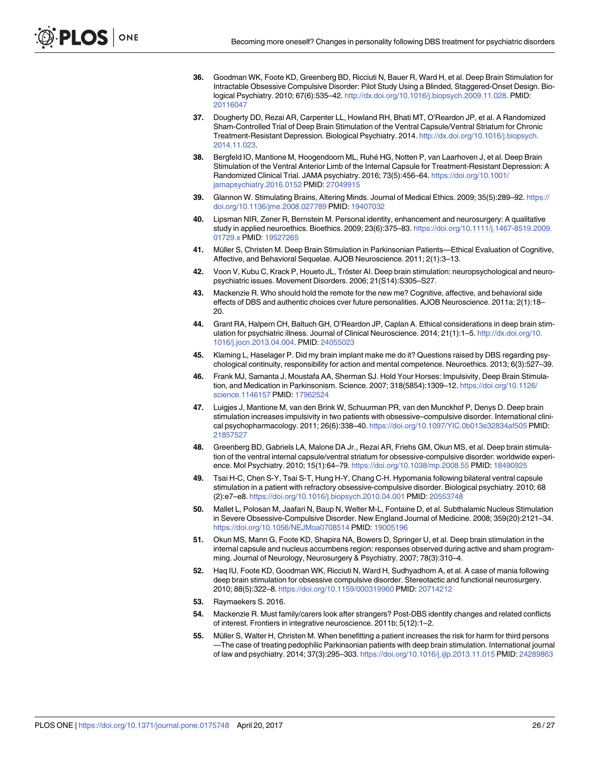- <span id="page-25-0"></span>**[36](#page-5-0).** Goodman WK, Foote KD, Greenberg BD, Ricciuti N, Bauer R, Ward H, et al. Deep Brain Stimulation for Intractable Obsessive Compulsive Disorder: Pilot Study Using a Blinded, Staggered-Onset Design. Biological Psychiatry. 2010; 67(6):535–42. [http://dx.doi.org/10.1016/j.biopsych.2009.11.028.](http://dx.doi.org/10.1016/j.biopsych.2009.11.028) PMID: [20116047](http://www.ncbi.nlm.nih.gov/pubmed/20116047)
- **[37](#page-5-0).** Dougherty DD, Rezai AR, Carpenter LL, Howland RH, Bhati MT, O'Reardon JP, et al. A Randomized Sham-Controlled Trial of Deep Brain Stimulation of the Ventral Capsule/Ventral Striatum for Chronic Treatment-Resistant Depression. Biological Psychiatry. 2014. [http://dx.doi.org/10.1016/j.biopsych.](http://dx.doi.org/10.1016/j.biopsych.2014.11.023) [2014.11.023](http://dx.doi.org/10.1016/j.biopsych.2014.11.023).
- **[38](#page-5-0).** Bergfeld IO, Mantione M, Hoogendoorn ML, Ruhe´ HG, Notten P, van Laarhoven J, et al. Deep Brain Stimulation of the Ventral Anterior Limb of the Internal Capsule for Treatment-Resistant Depression: A Randomized Clinical Trial. JAMA psychiatry. 2016; 73(5):456–64. [https://doi.org/10.1001/](https://doi.org/10.1001/jamapsychiatry.2016.0152) [jamapsychiatry.2016.0152](https://doi.org/10.1001/jamapsychiatry.2016.0152) PMID: [27049915](http://www.ncbi.nlm.nih.gov/pubmed/27049915)
- **[39](#page-6-0).** Glannon W. Stimulating Brains, Altering Minds. Journal of Medical Ethics. 2009; 35(5):289–92. [https://](https://doi.org/10.1136/jme.2008.027789) [doi.org/10.1136/jme.2008.027789](https://doi.org/10.1136/jme.2008.027789) PMID: [19407032](http://www.ncbi.nlm.nih.gov/pubmed/19407032)
- **[40](#page-6-0).** Lipsman NIR, Zener R, Bernstein M. Personal identity, enhancement and neurosurgery: A qualitative study in applied neuroethics. Bioethics. 2009; 23(6):375–83. [https://doi.org/10.1111/j.1467-8519.2009.](https://doi.org/10.1111/j.1467-8519.2009.01729.x) [01729.x](https://doi.org/10.1111/j.1467-8519.2009.01729.x) PMID: [19527265](http://www.ncbi.nlm.nih.gov/pubmed/19527265)
- **[41](#page-6-0).** Müller S, Christen M. Deep Brain Stimulation in Parkinsonian Patients—Ethical Evaluation of Cognitive, Affective, and Behavioral Sequelae. AJOB Neuroscience. 2011; 2(1):3–13.
- **[42](#page-6-0).** Voon V, Kubu C, Krack P, Houeto JL, Tröster AI. Deep brain stimulation: neuropsychological and neuropsychiatric issues. Movement Disorders. 2006; 21(S14):S305–S27.
- **[43](#page-6-0).** Mackenzie R. Who should hold the remote for the new me? Cognitive, affective, and behavioral side effects of DBS and authentic choices cver future personalities. AJOB Neuroscience. 2011a; 2(1):18– 20.
- **[44](#page-7-0).** Grant RA, Halpern CH, Baltuch GH, O'Reardon JP, Caplan A. Ethical considerations in deep brain stimulation for psychiatric illness. Journal of Clinical Neuroscience. 2014; 21(1):1–5. [http://dx.doi.org/10.](http://dx.doi.org/10.1016/j.jocn.2013.04.004) [1016/j.jocn.2013.04.004](http://dx.doi.org/10.1016/j.jocn.2013.04.004). PMID: [24055023](http://www.ncbi.nlm.nih.gov/pubmed/24055023)
- **[45](#page-7-0).** Klaming L, Haselager P. Did my brain implant make me do it? Questions raised by DBS regarding psychological continuity, responsibility for action and mental competence. Neuroethics. 2013; 6(3):527–39.
- **[46](#page-7-0).** Frank MJ, Samanta J, Moustafa AA, Sherman SJ. Hold Your Horses: Impulsivity, Deep Brain Stimulation, and Medication in Parkinsonism. Science. 2007; 318(5854):1309–12. [https://doi.org/10.1126/](https://doi.org/10.1126/science.1146157) [science.1146157](https://doi.org/10.1126/science.1146157) PMID: [17962524](http://www.ncbi.nlm.nih.gov/pubmed/17962524)
- **[47](#page-7-0).** Luigjes J, Mantione M, van den Brink W, Schuurman PR, van den Munckhof P, Denys D. Deep brain stimulation increases impulsivity in two patients with obsessive–compulsive disorder. International clinical psychopharmacology. 2011; 26(6):338–40. <https://doi.org/10.1097/YIC.0b013e32834af505> PMID: [21857527](http://www.ncbi.nlm.nih.gov/pubmed/21857527)
- **[48](#page-7-0).** Greenberg BD, Gabriels LA, Malone DA Jr., Rezai AR, Friehs GM, Okun MS, et al. Deep brain stimulation of the ventral internal capsule/ventral striatum for obsessive-compulsive disorder: worldwide experience. Mol Psychiatry. 2010; 15(1):64–79. <https://doi.org/10.1038/mp.2008.55> PMID: [18490925](http://www.ncbi.nlm.nih.gov/pubmed/18490925)
- **49.** Tsai H-C, Chen S-Y, Tsai S-T, Hung H-Y, Chang C-H. Hypomania following bilateral ventral capsule stimulation in a patient with refractory obsessive-compulsive disorder. Biological psychiatry. 2010; 68 (2):e7–e8. <https://doi.org/10.1016/j.biopsych.2010.04.001> PMID: [20553748](http://www.ncbi.nlm.nih.gov/pubmed/20553748)
- **50.** Mallet L, Polosan M, Jaafari N, Baup N, Welter M-L, Fontaine D, et al. Subthalamic Nucleus Stimulation in Severe Obsessive-Compulsive Disorder. New England Journal of Medicine. 2008; 359(20):2121–34. <https://doi.org/10.1056/NEJMoa0708514> PMID: [19005196](http://www.ncbi.nlm.nih.gov/pubmed/19005196)
- **51.** Okun MS, Mann G, Foote KD, Shapira NA, Bowers D, Springer U, et al. Deep brain stimulation in the internal capsule and nucleus accumbens region: responses observed during active and sham programming. Journal of Neurology, Neurosurgery & Psychiatry. 2007; 78(3):310–4.
- **[52](#page-7-0).** Haq IU, Foote KD, Goodman WK, Ricciuti N, Ward H, Sudhyadhom A, et al. A case of mania following deep brain stimulation for obsessive compulsive disorder. Stereotactic and functional neurosurgery. 2010; 88(5):322–8. <https://doi.org/10.1159/000319960> PMID: [20714212](http://www.ncbi.nlm.nih.gov/pubmed/20714212)
- **[53](#page-8-0).** Raymaekers S. 2016.
- **[54](#page-8-0).** Mackenzie R. Must family/carers look after strangers? Post-DBS identity changes and related conflicts of interest. Frontiers in integrative neuroscience. 2011b; 5(12):1–2.
- **[55](#page-8-0).** Müller S, Walter H, Christen M. When benefitting a patient increases the risk for harm for third persons —The case of treating pedophilic Parkinsonian patients with deep brain stimulation. International journal of law and psychiatry. 2014; 37(3):295–303. <https://doi.org/10.1016/j.ijlp.2013.11.015> PMID: [24289863](http://www.ncbi.nlm.nih.gov/pubmed/24289863)